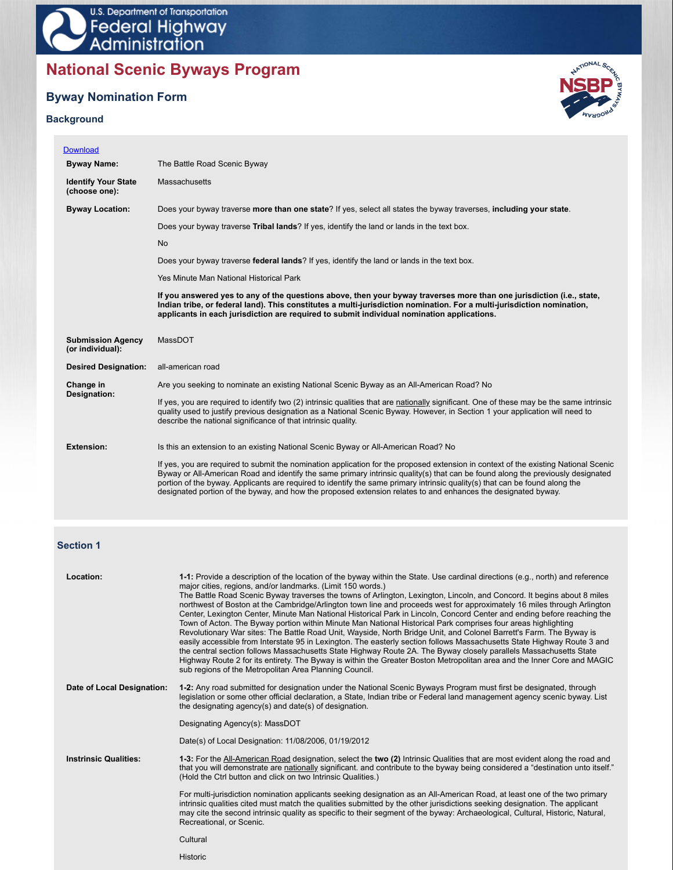

# **National Scenic Byways Program**

# **Byway Nomination Form**

# **Background**



| <b>Download</b>                              |                                                                                                                                                                                                                                                                                                                                               |
|----------------------------------------------|-----------------------------------------------------------------------------------------------------------------------------------------------------------------------------------------------------------------------------------------------------------------------------------------------------------------------------------------------|
| <b>Byway Name:</b>                           | The Battle Road Scenic Byway                                                                                                                                                                                                                                                                                                                  |
| <b>Identify Your State</b><br>(choose one):  | <b>Massachusetts</b>                                                                                                                                                                                                                                                                                                                          |
| <b>Byway Location:</b>                       | Does your byway traverse more than one state? If yes, select all states the byway traverses, including your state.                                                                                                                                                                                                                            |
|                                              | Does your byway traverse Tribal lands? If yes, identify the land or lands in the text box.                                                                                                                                                                                                                                                    |
|                                              | <b>No</b>                                                                                                                                                                                                                                                                                                                                     |
|                                              | Does your byway traverse federal lands? If yes, identify the land or lands in the text box.                                                                                                                                                                                                                                                   |
|                                              | Yes Minute Man National Historical Park                                                                                                                                                                                                                                                                                                       |
|                                              | If you answered yes to any of the questions above, then your byway traverses more than one jurisdiction (i.e., state,<br>Indian tribe, or federal land). This constitutes a multi-jurisdiction nomination. For a multi-jurisdiction nomination,<br>applicants in each jurisdiction are required to submit individual nomination applications. |
| <b>Submission Agency</b><br>(or individual): | MassDOT                                                                                                                                                                                                                                                                                                                                       |
|                                              |                                                                                                                                                                                                                                                                                                                                               |
| <b>Desired Designation:</b>                  | all-american road                                                                                                                                                                                                                                                                                                                             |
| Change in                                    | Are you seeking to nominate an existing National Scenic Byway as an All-American Road? No                                                                                                                                                                                                                                                     |
| Designation:                                 | If yes, you are required to identify two (2) intrinsic qualities that are nationally significant. One of these may be the same intrinsic<br>quality used to justify previous designation as a National Scenic Byway. However, in Section 1 your application will need to<br>describe the national significance of that intrinsic quality.     |
| <b>Extension:</b>                            | Is this an extension to an existing National Scenic Byway or All-American Road? No                                                                                                                                                                                                                                                            |

# **Section 1**

| 1-1: Provide a description of the location of the byway within the State. Use cardinal directions (e.g., north) and reference<br>The Battle Road Scenic Byway traverses the towns of Arlington, Lexington, Lincoln, and Concord. It begins about 8 miles<br>northwest of Boston at the Cambridge/Arlington town line and proceeds west for approximately 16 miles through Arlington<br>Center, Lexington Center, Minute Man National Historical Park in Lincoln, Concord Center and ending before reaching the<br>Revolutionary War sites: The Battle Road Unit, Wayside, North Bridge Unit, and Colonel Barrett's Farm. The Byway is<br>easily accessible from Interstate 95 in Lexington. The easterly section follows Massachusetts State Highway Route 3 and<br>the central section follows Massachusetts State Highway Route 2A. The Byway closely parallels Massachusetts State<br>Highway Route 2 for its entirety. The Byway is within the Greater Boston Metropolitan area and the Inner Core and MAGIC |
|------------------------------------------------------------------------------------------------------------------------------------------------------------------------------------------------------------------------------------------------------------------------------------------------------------------------------------------------------------------------------------------------------------------------------------------------------------------------------------------------------------------------------------------------------------------------------------------------------------------------------------------------------------------------------------------------------------------------------------------------------------------------------------------------------------------------------------------------------------------------------------------------------------------------------------------------------------------------------------------------------------------|
| 1-2: Any road submitted for designation under the National Scenic Byways Program must first be designated, through<br>legislation or some other official declaration, a State, Indian tribe or Federal land management agency scenic byway. List                                                                                                                                                                                                                                                                                                                                                                                                                                                                                                                                                                                                                                                                                                                                                                 |
|                                                                                                                                                                                                                                                                                                                                                                                                                                                                                                                                                                                                                                                                                                                                                                                                                                                                                                                                                                                                                  |
|                                                                                                                                                                                                                                                                                                                                                                                                                                                                                                                                                                                                                                                                                                                                                                                                                                                                                                                                                                                                                  |
| 1-3: For the All-American Road designation, select the two (2) Intrinsic Qualities that are most evident along the road and<br>that you will demonstrate are nationally significant. and contribute to the byway being considered a "destination unto itself."                                                                                                                                                                                                                                                                                                                                                                                                                                                                                                                                                                                                                                                                                                                                                   |
| For multi-jurisdiction nomination applicants seeking designation as an All-American Road, at least one of the two primary<br>intrinsic qualities cited must match the qualities submitted by the other jurisdictions seeking designation. The applicant<br>may cite the second intrinsic quality as specific to their segment of the byway: Archaeological, Cultural, Historic, Natural,                                                                                                                                                                                                                                                                                                                                                                                                                                                                                                                                                                                                                         |
|                                                                                                                                                                                                                                                                                                                                                                                                                                                                                                                                                                                                                                                                                                                                                                                                                                                                                                                                                                                                                  |
|                                                                                                                                                                                                                                                                                                                                                                                                                                                                                                                                                                                                                                                                                                                                                                                                                                                                                                                                                                                                                  |

Historic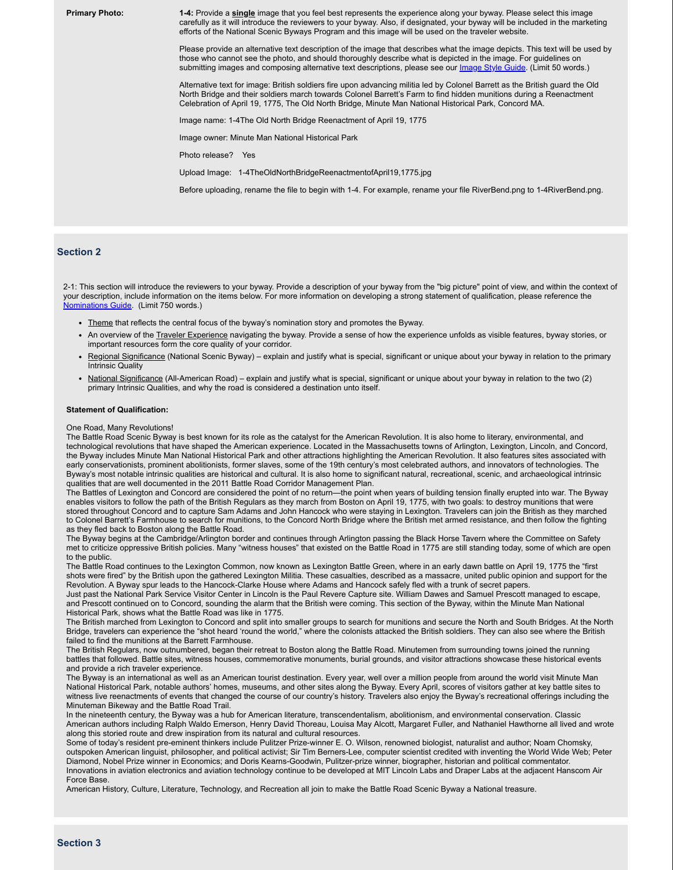**Primary Photo: 1-4:** Provide a **single** image that you feel best represents the experience along your byway. Please select this image carefully as it will introduce the reviewers to your byway. Also, if designated, your byway will be included in the marketing efforts of the National Scenic Byways Program and this image will be used on the traveler website.

> Please provide an alternative text description of the image that describes what the image depicts. This text will be used by those who cannot see the photo, and should thoroughly describe what is depicted in the image. For guidelines on submitting images and composing alternative text descriptions, please see our *Image Style Guide*. (Limit 50 words.)

Alternative text for image: British soldiers fire upon advancing militia led by Colonel Barrett as the British guard the Old North Bridge and their soldiers march towards Colonel Barrett's Farm to find hidden munitions during a Reenactment Celebration of April 19, 1775, The Old North Bridge, Minute Man National Historical Park, Concord MA.

Image name: 1-4The Old North Bridge Reenactment of April 19, 1775

Image owner: Minute Man National Historical Park

Photo release? Yes

Upload Image: 1-4TheOldNorthBridgeReenactmentofApril19,1775.jpg

Before uploading, rename the file to begin with 1-4. For example, rename your file RiverBend.png to 1-4RiverBend.png.

### **Section 2**

2-1: This section will introduce the reviewers to your byway. Provide a description of your byway from the "big picture" point of view, and within the context of your description, include information on the items below. For more information on developing a strong statement of qualification, please reference the Nominations Guide. (Limit 750 words.)

- Theme that reflects the central focus of the byway's nomination story and promotes the Byway.
- An overview of the Traveler Experience navigating the byway. Provide a sense of how the experience unfolds as visible features, byway stories, or important resources form the core quality of your corridor.
- Regional Significance (National Scenic Byway) explain and justify what is special, significant or unique about your byway in relation to the primary Intrinsic Quality
- National Significance (All-American Road) explain and justify what is special, significant or unique about your byway in relation to the two (2) primary Intrinsic Qualities, and why the road is considered a destination unto itself.

#### **Statement of Qualification:**

One Road, Many Revolutions!

The Battle Road Scenic Byway is best known for its role as the catalyst for the American Revolution. It is also home to literary, environmental, and technological revolutions that have shaped the American experience. Located in the Massachusetts towns of Arlington, Lexington, Lincoln, and Concord, the Byway includes Minute Man National Historical Park and other attractions highlighting the American Revolution. It also features sites associated with early conservationists, prominent abolitionists, former slaves, some of the 19th century's most celebrated authors, and innovators of technologies. The Byway's most notable intrinsic qualities are historical and cultural. It is also home to significant natural, recreational, scenic, and archaeological intrinsic qualities that are well documented in the 2011 Battle Road Corridor Management Plan.

The Battles of Lexington and Concord are considered the point of no return—the point when years of building tension finally erupted into war. The Byway enables visitors to follow the path of the British Regulars as they march from Boston on April 19, 1775, with two goals: to destroy munitions that were stored throughout Concord and to capture Sam Adams and John Hancock who were staying in Lexington. Travelers can join the British as they marched to Colonel Barrett's Farmhouse to search for munitions, to the Concord North Bridge where the British met armed resistance, and then follow the fighting as they fled back to Boston along the Battle Road.

The Byway begins at the Cambridge/Arlington border and continues through Arlington passing the Black Horse Tavern where the Committee on Safety met to criticize oppressive British policies. Many "witness houses" that existed on the Battle Road in 1775 are still standing today, some of which are open to the public.

The Battle Road continues to the Lexington Common, now known as Lexington Battle Green, where in an early dawn battle on April 19, 1775 the "first shots were fired" by the British upon the gathered Lexington Militia. These casualties, described as a massacre, united public opinion and support for the Revolution. A Byway spur leads to the Hancock-Clarke House where Adams and Hancock safely fled with a trunk of secret papers.

Just past the National Park Service Visitor Center in Lincoln is the Paul Revere Capture site. William Dawes and Samuel Prescott managed to escape, and Prescott continued on to Concord, sounding the alarm that the British were coming. This section of the Byway, within the Minute Man National Historical Park, shows what the Battle Road was like in 1775.

The British marched from Lexington to Concord and split into smaller groups to search for munitions and secure the North and South Bridges. At the North Bridge, travelers can experience the "shot heard 'round the world," where the colonists attacked the British soldiers. They can also see where the British failed to find the munitions at the Barrett Farmhouse.

The British Regulars, now outnumbered, began their retreat to Boston along the Battle Road. Minutemen from surrounding towns joined the running battles that followed. Battle sites, witness houses, commemorative monuments, burial grounds, and visitor attractions showcase these historical events and provide a rich traveler experience.

The Byway is an international as well as an American tourist destination. Every year, well over a million people from around the world visit Minute Man National Historical Park, notable authors' homes, museums, and other sites along the Byway. Every April, scores of visitors gather at key battle sites to witness live reenactments of events that changed the course of our country's history. Travelers also enjoy the Byway's recreational offerings including the Minuteman Bikeway and the Battle Road Trail.

In the nineteenth century, the Byway was a hub for American literature, transcendentalism, abolitionism, and environmental conservation. Classic American authors including Ralph Waldo Emerson, Henry David Thoreau, Louisa May Alcott, Margaret Fuller, and Nathaniel Hawthorne all lived and wrote along this storied route and drew inspiration from its natural and cultural resources.

Some of today's resident pre-eminent thinkers include Pulitzer Prize-winner E. O. Wilson, renowned biologist, naturalist and author; Noam Chomsky, outspoken American linguist, philosopher, and political activist; Sir Tim Berners-Lee, computer scientist credited with inventing the World Wide Web; Peter Diamond, Nobel Prize winner in Economics; and Doris Kearns-Goodwin, Pulitzer-prize winner, biographer, historian and political commentator. Innovations in aviation electronics and aviation technology continue to be developed at MIT Lincoln Labs and Draper Labs at the adjacent Hanscom Air Force Base.

American History, Culture, Literature, Technology, and Recreation all join to make the Battle Road Scenic Byway a National treasure.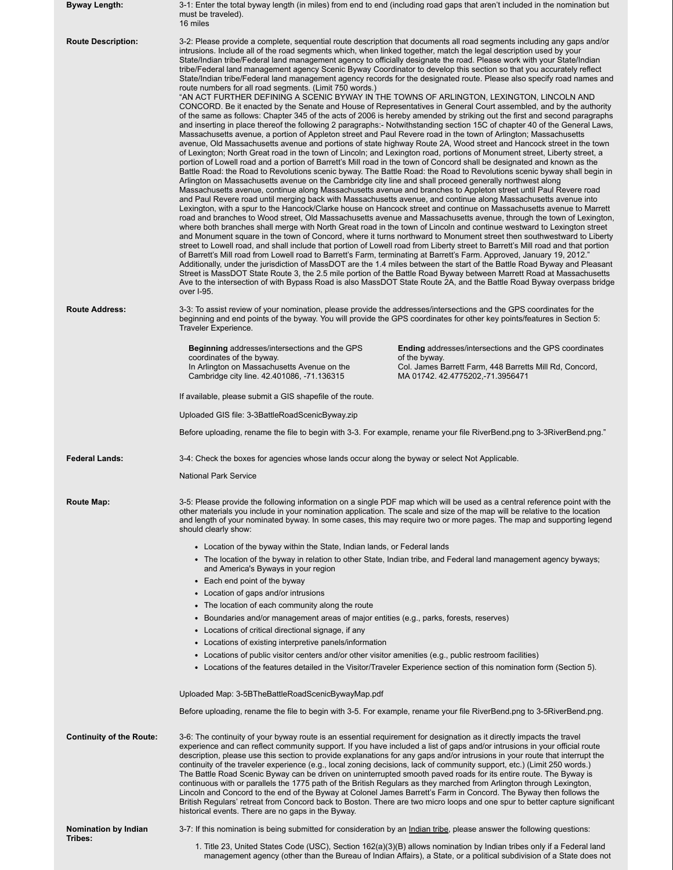| <b>Byway Length:</b>            | 3-1: Enter the total byway length (in miles) from end to end (including road gaps that aren't included in the nomination but<br>must be traveled).<br>16 miles                                                                                                                                                                                                                                                                                                                                                                                                                                                                                    |                                                                                                                                                                                                                                                                                                                                                                                                                                                                                                                                                                                                                                                                                                                                                                                                                                                                                                                                                                                                                                                                                                                                                                                                                                                                                                                                                                                                                                                                                                                                                                                                                                                                                                                                                                                                                                                                                                                                                                                                                                                                                                                                                                                                                                                                                                                                                                                                                                                                                                                                                                                                                                                           |  |  |  |  |
|---------------------------------|---------------------------------------------------------------------------------------------------------------------------------------------------------------------------------------------------------------------------------------------------------------------------------------------------------------------------------------------------------------------------------------------------------------------------------------------------------------------------------------------------------------------------------------------------------------------------------------------------------------------------------------------------|-----------------------------------------------------------------------------------------------------------------------------------------------------------------------------------------------------------------------------------------------------------------------------------------------------------------------------------------------------------------------------------------------------------------------------------------------------------------------------------------------------------------------------------------------------------------------------------------------------------------------------------------------------------------------------------------------------------------------------------------------------------------------------------------------------------------------------------------------------------------------------------------------------------------------------------------------------------------------------------------------------------------------------------------------------------------------------------------------------------------------------------------------------------------------------------------------------------------------------------------------------------------------------------------------------------------------------------------------------------------------------------------------------------------------------------------------------------------------------------------------------------------------------------------------------------------------------------------------------------------------------------------------------------------------------------------------------------------------------------------------------------------------------------------------------------------------------------------------------------------------------------------------------------------------------------------------------------------------------------------------------------------------------------------------------------------------------------------------------------------------------------------------------------------------------------------------------------------------------------------------------------------------------------------------------------------------------------------------------------------------------------------------------------------------------------------------------------------------------------------------------------------------------------------------------------------------------------------------------------------------------------------------------------|--|--|--|--|
| <b>Route Description:</b>       | intrusions. Include all of the road segments which, when linked together, match the legal description used by your<br>route numbers for all road segments. (Limit 750 words.)<br>"AN ACT FURTHER DEFINING A SCENIC BYWAY IN THE TOWNS OF ARLINGTON, LEXINGTON, LINCOLN AND<br>Massachusetts avenue, a portion of Appleton street and Paul Revere road in the town of Arlington; Massachusetts<br>Arlington on Massachusetts avenue on the Cambridge city line and shall proceed generally northwest along<br>of Barrett's Mill road from Lowell road to Barrett's Farm, terminating at Barrett's Farm. Approved, January 19, 2012."<br>over I-95. | 3-2: Please provide a complete, sequential route description that documents all road segments including any gaps and/or<br>State/Indian tribe/Federal land management agency to officially designate the road. Please work with your State/Indian<br>tribe/Federal land management agency Scenic Byway Coordinator to develop this section so that you accurately reflect<br>State/Indian tribe/Federal land management agency records for the designated route. Please also specify road names and<br>CONCORD. Be it enacted by the Senate and House of Representatives in General Court assembled, and by the authority<br>of the same as follows: Chapter 345 of the acts of 2006 is hereby amended by striking out the first and second paragraphs<br>and inserting in place thereof the following 2 paragraphs:- Notwithstanding section 15C of chapter 40 of the General Laws,<br>avenue, Old Massachusetts avenue and portions of state highway Route 2A, Wood street and Hancock street in the town<br>of Lexington; North Great road in the town of Lincoln; and Lexington road, portions of Monument street, Liberty street, a<br>portion of Lowell road and a portion of Barrett's Mill road in the town of Concord shall be designated and known as the<br>Battle Road: the Road to Revolutions scenic byway. The Battle Road: the Road to Revolutions scenic byway shall begin in<br>Massachusetts avenue, continue along Massachusetts avenue and branches to Appleton street until Paul Revere road<br>and Paul Revere road until merging back with Massachusetts avenue, and continue along Massachusetts avenue into<br>Lexington, with a spur to the Hancock/Clarke house on Hancock street and continue on Massachusetts avenue to Marrett<br>road and branches to Wood street, Old Massachusetts avenue and Massachusetts avenue, through the town of Lexington,<br>where both branches shall merge with North Great road in the town of Lincoln and continue westward to Lexington street<br>and Monument square in the town of Concord, where it turns northward to Monument street then southwestward to Liberty<br>street to Lowell road, and shall include that portion of Lowell road from Liberty street to Barrett's Mill road and that portion<br>Additionally, under the jurisdiction of MassDOT are the 1.4 miles between the start of the Battle Road Byway and Pleasant<br>Street is MassDOT State Route 3, the 2.5 mile portion of the Battle Road Byway between Marrett Road at Massachusetts<br>Ave to the intersection of with Bypass Road is also MassDOT State Route 2A, and the Battle Road Byway overpass bridge |  |  |  |  |
| <b>Route Address:</b>           | 3-3: To assist review of your nomination, please provide the addresses/intersections and the GPS coordinates for the<br>Traveler Experience.                                                                                                                                                                                                                                                                                                                                                                                                                                                                                                      | beginning and end points of the byway. You will provide the GPS coordinates for other key points/features in Section 5:                                                                                                                                                                                                                                                                                                                                                                                                                                                                                                                                                                                                                                                                                                                                                                                                                                                                                                                                                                                                                                                                                                                                                                                                                                                                                                                                                                                                                                                                                                                                                                                                                                                                                                                                                                                                                                                                                                                                                                                                                                                                                                                                                                                                                                                                                                                                                                                                                                                                                                                                   |  |  |  |  |
|                                 | <b>Beginning addresses/intersections and the GPS</b><br>coordinates of the byway.<br>In Arlington on Massachusetts Avenue on the<br>Cambridge city line. 42.401086, -71.136315                                                                                                                                                                                                                                                                                                                                                                                                                                                                    | <b>Ending addresses/intersections and the GPS coordinates</b><br>of the byway.<br>Col. James Barrett Farm, 448 Barretts Mill Rd, Concord,<br>MA 01742. 42.4775202,-71.3956471                                                                                                                                                                                                                                                                                                                                                                                                                                                                                                                                                                                                                                                                                                                                                                                                                                                                                                                                                                                                                                                                                                                                                                                                                                                                                                                                                                                                                                                                                                                                                                                                                                                                                                                                                                                                                                                                                                                                                                                                                                                                                                                                                                                                                                                                                                                                                                                                                                                                             |  |  |  |  |
|                                 | If available, please submit a GIS shapefile of the route.                                                                                                                                                                                                                                                                                                                                                                                                                                                                                                                                                                                         |                                                                                                                                                                                                                                                                                                                                                                                                                                                                                                                                                                                                                                                                                                                                                                                                                                                                                                                                                                                                                                                                                                                                                                                                                                                                                                                                                                                                                                                                                                                                                                                                                                                                                                                                                                                                                                                                                                                                                                                                                                                                                                                                                                                                                                                                                                                                                                                                                                                                                                                                                                                                                                                           |  |  |  |  |
|                                 | Uploaded GIS file: 3-3BattleRoadScenicByway.zip                                                                                                                                                                                                                                                                                                                                                                                                                                                                                                                                                                                                   |                                                                                                                                                                                                                                                                                                                                                                                                                                                                                                                                                                                                                                                                                                                                                                                                                                                                                                                                                                                                                                                                                                                                                                                                                                                                                                                                                                                                                                                                                                                                                                                                                                                                                                                                                                                                                                                                                                                                                                                                                                                                                                                                                                                                                                                                                                                                                                                                                                                                                                                                                                                                                                                           |  |  |  |  |
|                                 |                                                                                                                                                                                                                                                                                                                                                                                                                                                                                                                                                                                                                                                   | Before uploading, rename the file to begin with 3-3. For example, rename your file RiverBend.png to 3-3RiverBend.png."                                                                                                                                                                                                                                                                                                                                                                                                                                                                                                                                                                                                                                                                                                                                                                                                                                                                                                                                                                                                                                                                                                                                                                                                                                                                                                                                                                                                                                                                                                                                                                                                                                                                                                                                                                                                                                                                                                                                                                                                                                                                                                                                                                                                                                                                                                                                                                                                                                                                                                                                    |  |  |  |  |
| <b>Federal Lands:</b>           | 3-4: Check the boxes for agencies whose lands occur along the byway or select Not Applicable.                                                                                                                                                                                                                                                                                                                                                                                                                                                                                                                                                     |                                                                                                                                                                                                                                                                                                                                                                                                                                                                                                                                                                                                                                                                                                                                                                                                                                                                                                                                                                                                                                                                                                                                                                                                                                                                                                                                                                                                                                                                                                                                                                                                                                                                                                                                                                                                                                                                                                                                                                                                                                                                                                                                                                                                                                                                                                                                                                                                                                                                                                                                                                                                                                                           |  |  |  |  |
|                                 | <b>National Park Service</b>                                                                                                                                                                                                                                                                                                                                                                                                                                                                                                                                                                                                                      |                                                                                                                                                                                                                                                                                                                                                                                                                                                                                                                                                                                                                                                                                                                                                                                                                                                                                                                                                                                                                                                                                                                                                                                                                                                                                                                                                                                                                                                                                                                                                                                                                                                                                                                                                                                                                                                                                                                                                                                                                                                                                                                                                                                                                                                                                                                                                                                                                                                                                                                                                                                                                                                           |  |  |  |  |
| <b>Route Map:</b>               | should clearly show:                                                                                                                                                                                                                                                                                                                                                                                                                                                                                                                                                                                                                              | 3-5: Please provide the following information on a single PDF map which will be used as a central reference point with the<br>other materials you include in your nomination application. The scale and size of the map will be relative to the location<br>and length of your nominated byway. In some cases, this may require two or more pages. The map and supporting legend                                                                                                                                                                                                                                                                                                                                                                                                                                                                                                                                                                                                                                                                                                                                                                                                                                                                                                                                                                                                                                                                                                                                                                                                                                                                                                                                                                                                                                                                                                                                                                                                                                                                                                                                                                                                                                                                                                                                                                                                                                                                                                                                                                                                                                                                          |  |  |  |  |
|                                 | • Location of the byway within the State, Indian lands, or Federal lands                                                                                                                                                                                                                                                                                                                                                                                                                                                                                                                                                                          |                                                                                                                                                                                                                                                                                                                                                                                                                                                                                                                                                                                                                                                                                                                                                                                                                                                                                                                                                                                                                                                                                                                                                                                                                                                                                                                                                                                                                                                                                                                                                                                                                                                                                                                                                                                                                                                                                                                                                                                                                                                                                                                                                                                                                                                                                                                                                                                                                                                                                                                                                                                                                                                           |  |  |  |  |
|                                 | and America's Byways in your region                                                                                                                                                                                                                                                                                                                                                                                                                                                                                                                                                                                                               | • The location of the byway in relation to other State, Indian tribe, and Federal land management agency byways;                                                                                                                                                                                                                                                                                                                                                                                                                                                                                                                                                                                                                                                                                                                                                                                                                                                                                                                                                                                                                                                                                                                                                                                                                                                                                                                                                                                                                                                                                                                                                                                                                                                                                                                                                                                                                                                                                                                                                                                                                                                                                                                                                                                                                                                                                                                                                                                                                                                                                                                                          |  |  |  |  |
|                                 | • Each end point of the byway                                                                                                                                                                                                                                                                                                                                                                                                                                                                                                                                                                                                                     |                                                                                                                                                                                                                                                                                                                                                                                                                                                                                                                                                                                                                                                                                                                                                                                                                                                                                                                                                                                                                                                                                                                                                                                                                                                                                                                                                                                                                                                                                                                                                                                                                                                                                                                                                                                                                                                                                                                                                                                                                                                                                                                                                                                                                                                                                                                                                                                                                                                                                                                                                                                                                                                           |  |  |  |  |
|                                 | • Location of gaps and/or intrusions<br>• The location of each community along the route                                                                                                                                                                                                                                                                                                                                                                                                                                                                                                                                                          |                                                                                                                                                                                                                                                                                                                                                                                                                                                                                                                                                                                                                                                                                                                                                                                                                                                                                                                                                                                                                                                                                                                                                                                                                                                                                                                                                                                                                                                                                                                                                                                                                                                                                                                                                                                                                                                                                                                                                                                                                                                                                                                                                                                                                                                                                                                                                                                                                                                                                                                                                                                                                                                           |  |  |  |  |
|                                 | • Boundaries and/or management areas of major entities (e.g., parks, forests, reserves)                                                                                                                                                                                                                                                                                                                                                                                                                                                                                                                                                           |                                                                                                                                                                                                                                                                                                                                                                                                                                                                                                                                                                                                                                                                                                                                                                                                                                                                                                                                                                                                                                                                                                                                                                                                                                                                                                                                                                                                                                                                                                                                                                                                                                                                                                                                                                                                                                                                                                                                                                                                                                                                                                                                                                                                                                                                                                                                                                                                                                                                                                                                                                                                                                                           |  |  |  |  |
|                                 | • Locations of critical directional signage, if any                                                                                                                                                                                                                                                                                                                                                                                                                                                                                                                                                                                               |                                                                                                                                                                                                                                                                                                                                                                                                                                                                                                                                                                                                                                                                                                                                                                                                                                                                                                                                                                                                                                                                                                                                                                                                                                                                                                                                                                                                                                                                                                                                                                                                                                                                                                                                                                                                                                                                                                                                                                                                                                                                                                                                                                                                                                                                                                                                                                                                                                                                                                                                                                                                                                                           |  |  |  |  |
|                                 | • Locations of existing interpretive panels/information<br>• Locations of public visitor centers and/or other visitor amenities (e.g., public restroom facilities)                                                                                                                                                                                                                                                                                                                                                                                                                                                                                |                                                                                                                                                                                                                                                                                                                                                                                                                                                                                                                                                                                                                                                                                                                                                                                                                                                                                                                                                                                                                                                                                                                                                                                                                                                                                                                                                                                                                                                                                                                                                                                                                                                                                                                                                                                                                                                                                                                                                                                                                                                                                                                                                                                                                                                                                                                                                                                                                                                                                                                                                                                                                                                           |  |  |  |  |
|                                 |                                                                                                                                                                                                                                                                                                                                                                                                                                                                                                                                                                                                                                                   | • Locations of the features detailed in the Visitor/Traveler Experience section of this nomination form (Section 5).                                                                                                                                                                                                                                                                                                                                                                                                                                                                                                                                                                                                                                                                                                                                                                                                                                                                                                                                                                                                                                                                                                                                                                                                                                                                                                                                                                                                                                                                                                                                                                                                                                                                                                                                                                                                                                                                                                                                                                                                                                                                                                                                                                                                                                                                                                                                                                                                                                                                                                                                      |  |  |  |  |
|                                 | Uploaded Map: 3-5BTheBattleRoadScenicBywayMap.pdf                                                                                                                                                                                                                                                                                                                                                                                                                                                                                                                                                                                                 |                                                                                                                                                                                                                                                                                                                                                                                                                                                                                                                                                                                                                                                                                                                                                                                                                                                                                                                                                                                                                                                                                                                                                                                                                                                                                                                                                                                                                                                                                                                                                                                                                                                                                                                                                                                                                                                                                                                                                                                                                                                                                                                                                                                                                                                                                                                                                                                                                                                                                                                                                                                                                                                           |  |  |  |  |
|                                 |                                                                                                                                                                                                                                                                                                                                                                                                                                                                                                                                                                                                                                                   | Before uploading, rename the file to begin with 3-5. For example, rename your file RiverBend.png to 3-5RiverBend.png.                                                                                                                                                                                                                                                                                                                                                                                                                                                                                                                                                                                                                                                                                                                                                                                                                                                                                                                                                                                                                                                                                                                                                                                                                                                                                                                                                                                                                                                                                                                                                                                                                                                                                                                                                                                                                                                                                                                                                                                                                                                                                                                                                                                                                                                                                                                                                                                                                                                                                                                                     |  |  |  |  |
| <b>Continuity of the Route:</b> | 3-6: The continuity of your byway route is an essential requirement for designation as it directly impacts the travel<br>continuity of the traveler experience (e.g., local zoning decisions, lack of community support, etc.) (Limit 250 words.)<br>The Battle Road Scenic Byway can be driven on uninterrupted smooth paved roads for its entire route. The Byway is<br>continuous with or parallels the 1775 path of the British Regulars as they marched from Arlington through Lexington,<br>historical events. There are no gaps in the Byway.                                                                                              | experience and can reflect community support. If you have included a list of gaps and/or intrusions in your official route<br>description, please use this section to provide explanations for any gaps and/or intrusions in your route that interrupt the<br>Lincoln and Concord to the end of the Byway at Colonel James Barrett's Farm in Concord. The Byway then follows the<br>British Regulars' retreat from Concord back to Boston. There are two micro loops and one spur to better capture significant                                                                                                                                                                                                                                                                                                                                                                                                                                                                                                                                                                                                                                                                                                                                                                                                                                                                                                                                                                                                                                                                                                                                                                                                                                                                                                                                                                                                                                                                                                                                                                                                                                                                                                                                                                                                                                                                                                                                                                                                                                                                                                                                           |  |  |  |  |
| Nomination by Indian            | 3-7: If this nomination is being submitted for consideration by an <i>Indian tribe</i> , please answer the following questions:                                                                                                                                                                                                                                                                                                                                                                                                                                                                                                                   |                                                                                                                                                                                                                                                                                                                                                                                                                                                                                                                                                                                                                                                                                                                                                                                                                                                                                                                                                                                                                                                                                                                                                                                                                                                                                                                                                                                                                                                                                                                                                                                                                                                                                                                                                                                                                                                                                                                                                                                                                                                                                                                                                                                                                                                                                                                                                                                                                                                                                                                                                                                                                                                           |  |  |  |  |
| Tribes:                         |                                                                                                                                                                                                                                                                                                                                                                                                                                                                                                                                                                                                                                                   | 1. Title 23, United States Code (USC), Section 162(a)(3)(B) allows nomination by Indian tribes only if a Federal land                                                                                                                                                                                                                                                                                                                                                                                                                                                                                                                                                                                                                                                                                                                                                                                                                                                                                                                                                                                                                                                                                                                                                                                                                                                                                                                                                                                                                                                                                                                                                                                                                                                                                                                                                                                                                                                                                                                                                                                                                                                                                                                                                                                                                                                                                                                                                                                                                                                                                                                                     |  |  |  |  |

management agency (other than the Bureau of Indian Affairs), a State, or a political subdivision of a State does not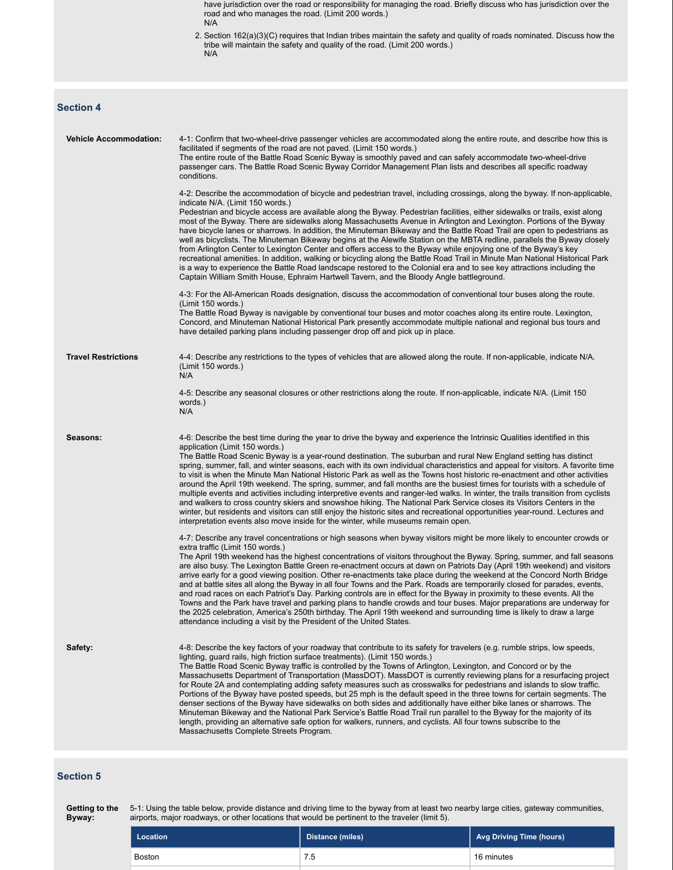have jurisdiction over the road or responsibility for managing the road. Briefly discuss who has jurisdiction over the road and who manages the road. (Limit 200 words.) N/A

2. Section 162(a)(3)(C) requires that Indian tribes maintain the safety and quality of roads nominated. Discuss how the tribe will maintain the safety and quality of the road. (Limit 200 words.) N/A

# **Section 4**

| <b>Vehicle Accommodation:</b> | 4-1: Confirm that two-wheel-drive passenger vehicles are accommodated along the entire route, and describe how this is<br>facilitated if segments of the road are not paved. (Limit 150 words.)<br>The entire route of the Battle Road Scenic Byway is smoothly paved and can safely accommodate two-wheel-drive<br>passenger cars. The Battle Road Scenic Byway Corridor Management Plan lists and describes all specific roadway<br>conditions.<br>4-2: Describe the accommodation of bicycle and pedestrian travel, including crossings, along the byway. If non-applicable,<br>indicate N/A. (Limit 150 words.)<br>Pedestrian and bicycle access are available along the Byway. Pedestrian facilities, either sidewalks or trails, exist along<br>most of the Byway. There are sidewalks along Massachusetts Avenue in Arlington and Lexington. Portions of the Byway<br>have bicycle lanes or sharrows. In addition, the Minuteman Bikeway and the Battle Road Trail are open to pedestrians as<br>well as bicyclists. The Minuteman Bikeway begins at the Alewife Station on the MBTA redline, parallels the Byway closely<br>from Arlington Center to Lexington Center and offers access to the Byway while enjoying one of the Byway's key<br>recreational amenities. In addition, walking or bicycling along the Battle Road Trail in Minute Man National Historical Park<br>is a way to experience the Battle Road landscape restored to the Colonial era and to see key attractions including the<br>Captain William Smith House, Ephraim Hartwell Tavern, and the Bloody Angle battleground.<br>4-3: For the All-American Roads designation, discuss the accommodation of conventional tour buses along the route. |
|-------------------------------|--------------------------------------------------------------------------------------------------------------------------------------------------------------------------------------------------------------------------------------------------------------------------------------------------------------------------------------------------------------------------------------------------------------------------------------------------------------------------------------------------------------------------------------------------------------------------------------------------------------------------------------------------------------------------------------------------------------------------------------------------------------------------------------------------------------------------------------------------------------------------------------------------------------------------------------------------------------------------------------------------------------------------------------------------------------------------------------------------------------------------------------------------------------------------------------------------------------------------------------------------------------------------------------------------------------------------------------------------------------------------------------------------------------------------------------------------------------------------------------------------------------------------------------------------------------------------------------------------------------------------------------------------------------------------------------------------------------------------------|
|                               | (Limit 150 words.)<br>The Battle Road Byway is navigable by conventional tour buses and motor coaches along its entire route. Lexington,<br>Concord, and Minuteman National Historical Park presently accommodate multiple national and regional bus tours and<br>have detailed parking plans including passenger drop off and pick up in place.                                                                                                                                                                                                                                                                                                                                                                                                                                                                                                                                                                                                                                                                                                                                                                                                                                                                                                                                                                                                                                                                                                                                                                                                                                                                                                                                                                               |
| <b>Travel Restrictions</b>    | 4-4: Describe any restrictions to the types of vehicles that are allowed along the route. If non-applicable, indicate N/A.<br>(Limit 150 words.)<br>N/A                                                                                                                                                                                                                                                                                                                                                                                                                                                                                                                                                                                                                                                                                                                                                                                                                                                                                                                                                                                                                                                                                                                                                                                                                                                                                                                                                                                                                                                                                                                                                                        |
|                               | 4-5: Describe any seasonal closures or other restrictions along the route. If non-applicable, indicate N/A. (Limit 150<br>words.)<br>N/A                                                                                                                                                                                                                                                                                                                                                                                                                                                                                                                                                                                                                                                                                                                                                                                                                                                                                                                                                                                                                                                                                                                                                                                                                                                                                                                                                                                                                                                                                                                                                                                       |
| Seasons:                      | 4-6: Describe the best time during the year to drive the byway and experience the Intrinsic Qualities identified in this<br>application (Limit 150 words.)<br>The Battle Road Scenic Byway is a year-round destination. The suburban and rural New England setting has distinct<br>spring, summer, fall, and winter seasons, each with its own individual characteristics and appeal for visitors. A favorite time<br>to visit is when the Minute Man National Historic Park as well as the Towns host historic re-enactment and other activities<br>around the April 19th weekend. The spring, summer, and fall months are the busiest times for tourists with a schedule of<br>multiple events and activities including interpretive events and ranger-led walks. In winter, the trails transition from cyclists<br>and walkers to cross country skiers and snowshoe hiking. The National Park Service closes its Visitors Centers in the<br>winter, but residents and visitors can still enjoy the historic sites and recreational opportunities year-round. Lectures and<br>interpretation events also move inside for the winter, while museums remain open.                                                                                                                                                                                                                                                                                                                                                                                                                                                                                                                                                              |
|                               | 4-7: Describe any travel concentrations or high seasons when byway visitors might be more likely to encounter crowds or<br>extra traffic (Limit 150 words.)<br>The April 19th weekend has the highest concentrations of visitors throughout the Byway. Spring, summer, and fall seasons<br>are also busy. The Lexington Battle Green re-enactment occurs at dawn on Patriots Day (April 19th weekend) and visitors<br>arrive early for a good viewing position. Other re-enactments take place during the weekend at the Concord North Bridge<br>and at battle sites all along the Byway in all four Towns and the Park. Roads are temporarily closed for parades, events,<br>and road races on each Patriot's Day. Parking controls are in effect for the Byway in proximity to these events. All the<br>Towns and the Park have travel and parking plans to handle crowds and tour buses. Major preparations are underway for<br>the 2025 celebration, America's 250th birthday. The April 19th weekend and surrounding time is likely to draw a large<br>attendance including a visit by the President of the United States.                                                                                                                                                                                                                                                                                                                                                                                                                                                                                                                                                                                                |
| Safety:                       | 4-8: Describe the key factors of your roadway that contribute to its safety for travelers (e.g. rumble strips, low speeds,<br>lighting, guard rails, high friction surface treatments). (Limit 150 words.)<br>The Battle Road Scenic Byway traffic is controlled by the Towns of Arlington, Lexington, and Concord or by the<br>Massachusetts Department of Transportation (MassDOT). MassDOT is currently reviewing plans for a resurfacing project<br>for Route 2A and contemplating adding safety measures such as crosswalks for pedestrians and islands to slow traffic.<br>Portions of the Byway have posted speeds, but 25 mph is the default speed in the three towns for certain segments. The<br>denser sections of the Byway have sidewalks on both sides and additionally have either bike lanes or sharrows. The<br>Minuteman Bikeway and the National Park Service's Battle Road Trail run parallel to the Byway for the majority of its<br>length, providing an alternative safe option for walkers, runners, and cyclists. All four towns subscribe to the<br>Massachusetts Complete Streets Program.                                                                                                                                                                                                                                                                                                                                                                                                                                                                                                                                                                                                          |

### **Section 5**

Getting to the 5-1: Using the table below, provide distance and driving time to the byway from at least two nearby large cities, gateway communities, **Byway:** airports, major roadways, or other locations that would be pertinent to the traveler (limit 5).

| Location | Distance (miles) | Avg Driving Time (hours) |
|----------|------------------|--------------------------|
| Boston   | 7.5              | 16 minutes               |
|          |                  |                          |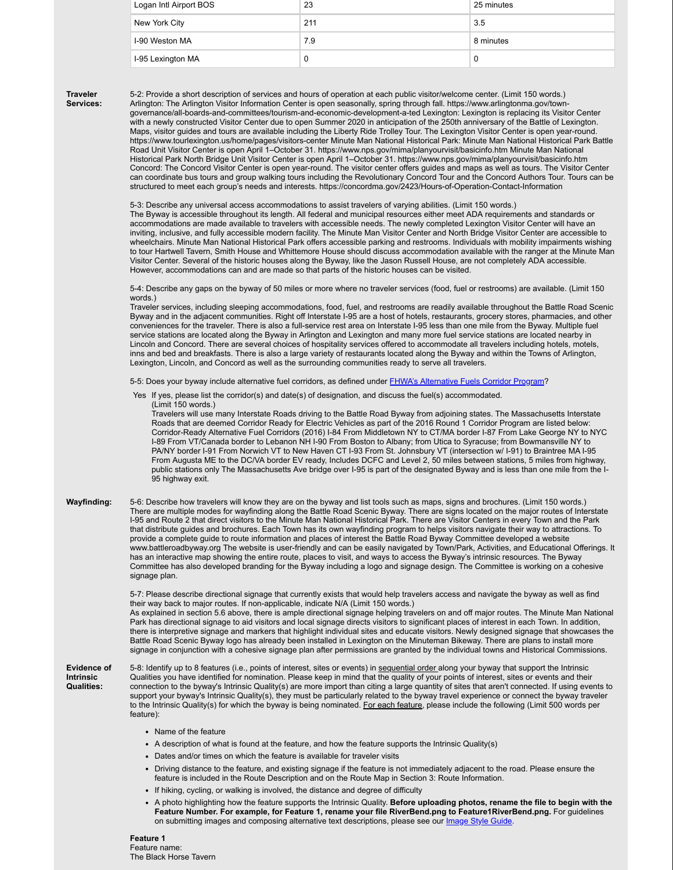| Logan Intl Airport BOS | 23  | 25 minutes |
|------------------------|-----|------------|
| New York City          | 211 | 3.5        |
| I-90 Weston MA         | 7.9 | 8 minutes  |
| I-95 Lexington MA      | C   | 0          |

**Traveler Services:** 5-2: Provide a short description of services and hours of operation at each public visitor/welcome center. (Limit 150 words.) Arlington: The Arlington Visitor Information Center is open seasonally, spring through fall. https://www.arlingtonma.gov/towngovernance/all-boards-and-committees/tourism-and-economic-development-a-ted Lexington: Lexington is replacing its Visitor Center with a newly constructed Visitor Center due to open Summer 2020 in anticipation of the 250th anniversary of the Battle of Lexington. Maps, visitor guides and tours are available including the Liberty Ride Trolley Tour. The Lexington Visitor Center is open year-round. https://www.tourlexington.us/home/pages/visitors-center Minute Man National Historical Park: Minute Man National Historical Park Battle Road Unit Visitor Center is open April 1–October 31. https://www.nps.gov/mima/planyourvisit/basicinfo.htm Minute Man National Historical Park North Bridge Unit Visitor Center is open April 1–October 31. https://www.nps.gov/mima/planyourvisit/basicinfo.htm Concord: The Concord Visitor Center is open year-round. The visitor center offers guides and maps as well as tours. The Visitor Center can coordinate bus tours and group walking tours including the Revolutionary Concord Tour and the Concord Authors Tour. Tours can be structured to meet each group's needs and interests. https://concordma.gov/2423/Hours-of-Operation-Contact-Information

5-3: Describe any universal access accommodations to assist travelers of varying abilities. (Limit 150 words.) The Byway is accessible throughout its length. All federal and municipal resources either meet ADA requirements and standards or accommodations are made available to travelers with accessible needs. The newly completed Lexington Visitor Center will have an inviting, inclusive, and fully accessible modern facility. The Minute Man Visitor Center and North Bridge Visitor Center are accessible to wheelchairs. Minute Man National Historical Park offers accessible parking and restrooms. Individuals with mobility impairments wishing to tour Hartwell Tavern, Smith House and Whittemore House should discuss accommodation available with the ranger at the Minute Man Visitor Center. Several of the historic houses along the Byway, like the Jason Russell House, are not completely ADA accessible. However, accommodations can and are made so that parts of the historic houses can be visited.

5-4: Describe any gaps on the byway of 50 miles or more where no traveler services (food, fuel or restrooms) are available. (Limit 150 words.)

Traveler services, including sleeping accommodations, food, fuel, and restrooms are readily available throughout the Battle Road Scenic Byway and in the adjacent communities. Right off Interstate I-95 are a host of hotels, restaurants, grocery stores, pharmacies, and other conveniences for the traveler. There is also a full-service rest area on Interstate I-95 less than one mile from the Byway. Multiple fuel service stations are located along the Byway in Arlington and Lexington and many more fuel service stations are located nearby in Lincoln and Concord. There are several choices of hospitality services offered to accommodate all travelers including hotels, motels, inns and bed and breakfasts. There is also a large variety of restaurants located along the Byway and within the Towns of Arlington, Lexington, Lincoln, and Concord as well as the surrounding communities ready to serve all travelers.

5-5: Does your byway include alternative fuel corridors, as defined under FHWA's Alternative Fuels Corridor Program?

Yes If yes, please list the corridor(s) and date(s) of designation, and discuss the fuel(s) accommodated.

(Limit 150 words.) Travelers will use many Interstate Roads driving to the Battle Road Byway from adjoining states. The Massachusetts Interstate Roads that are deemed Corridor Ready for Electric Vehicles as part of the 2016 Round 1 Corridor Program are listed below: Corridor-Ready Alternative Fuel Corridors (2016) I-84 From Middletown NY to CT/MA border I-87 From Lake George NY to NYC I-89 From VT/Canada border to Lebanon NH I-90 From Boston to Albany; from Utica to Syracuse; from Bowmansville NY to PA/NY border I-91 From Norwich VT to New Haven CT I-93 From St. Johnsbury VT (intersection w/ I-91) to Braintree MA I-95 From Augusta ME to the DC/VA border EV ready, Includes DCFC and Level 2, 50 miles between stations, 5 miles from highway, public stations only The Massachusetts Ave bridge over I-95 is part of the designated Byway and is less than one mile from the I-95 highway exit.

**Wayfinding:** 5-6: Describe how travelers will know they are on the byway and list tools such as maps, signs and brochures. (Limit 150 words.) There are multiple modes for wayfinding along the Battle Road Scenic Byway. There are signs located on the major routes of Interstate I-95 and Route 2 that direct visitors to the Minute Man National Historical Park. There are Visitor Centers in every Town and the Park that distribute guides and brochures. Each Town has its own wayfinding program to helps visitors navigate their way to attractions. To provide a complete guide to route information and places of interest the Battle Road Byway Committee developed a website www.battleroadbyway.org The website is user-friendly and can be easily navigated by Town/Park, Activities, and Educational Offerings. It has an interactive map showing the entire route, places to visit, and ways to access the Byway's intrinsic resources. The Byway Committee has also developed branding for the Byway including a logo and signage design. The Committee is working on a cohesive signage plan.

> 5-7: Please describe directional signage that currently exists that would help travelers access and navigate the byway as well as find their way back to major routes. If non-applicable, indicate N/A (Limit 150 words.) As explained in section 5.6 above, there is ample directional signage helping travelers on and off major routes. The Minute Man National Park has directional signage to aid visitors and local signage directs visitors to significant places of interest in each Town. In addition, there is interpretive signage and markers that highlight individual sites and educate visitors. Newly designed signage that showcases the Battle Road Scenic Byway logo has already been installed in Lexington on the Minuteman Bikeway. There are plans to install more signage in conjunction with a cohesive signage plan after permissions are granted by the individual towns and Historical Commissions.

**Evidence of Intrinsic Qualities:** 5-8: Identify up to 8 features (i.e., points of interest, sites or events) in sequential order along your byway that support the Intrinsic Qualities you have identified for nomination. Please keep in mind that the quality of your points of interest, sites or events and their connection to the byway's Intrinsic Quality(s) are more import than citing a large quantity of sites that aren't connected. If using events to support your byway's Intrinsic Quality(s), they must be particularly related to the byway travel experience or connect the byway traveler to the Intrinsic Quality(s) for which the byway is being nominated. For each feature, please include the following (Limit 500 words per feature):

- Name of the feature
- A description of what is found at the feature, and how the feature supports the Intrinsic Quality(s)
- Dates and/or times on which the feature is available for traveler visits
- Driving distance to the feature, and existing signage if the feature is not immediately adjacent to the road. Please ensure the feature is included in the Route Description and on the Route Map in Section 3: Route Information.
- If hiking, cycling, or walking is involved, the distance and degree of difficulty
- A photo highlighting how the feature supports the Intrinsic Quality. **Before uploading photos, rename the file to begin with the Feature Number. For example, for Feature 1, rename your file RiverBend.png to Feature1RiverBend.png.** For guidelines on submitting images and composing alternative text descriptions, please see our Image Style Guide.

**Feature 1** Feature name: The Black Horse Tavern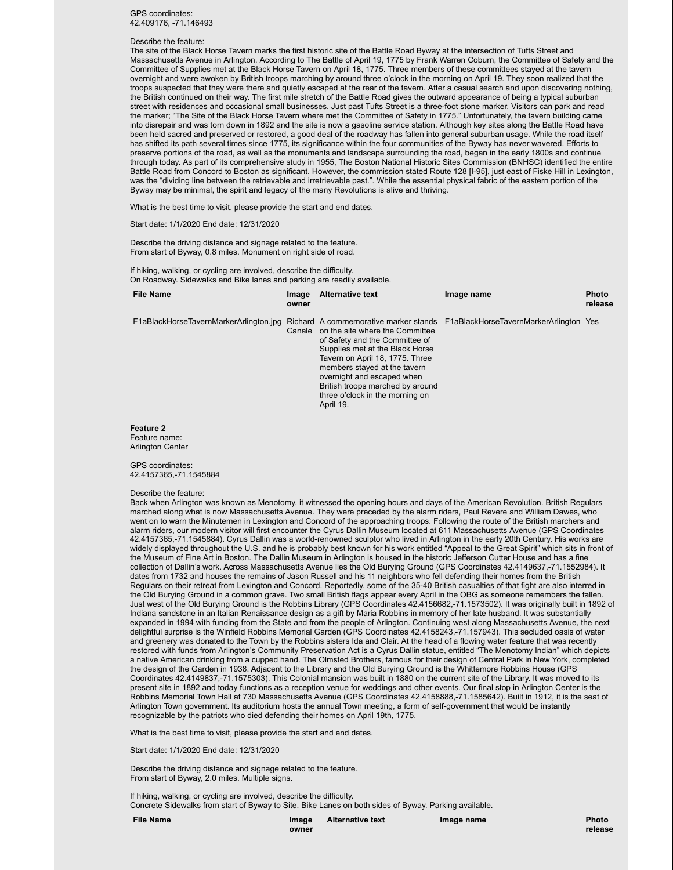GPS coordinates: 42.409176, -71.146493

#### Describe the feature:

The site of the Black Horse Tavern marks the first historic site of the Battle Road Byway at the intersection of Tufts Street and Massachusetts Avenue in Arlington. According to The Battle of April 19, 1775 by Frank Warren Coburn, the Committee of Safety and the Committee of Supplies met at the Black Horse Tavern on April 18, 1775. Three members of these committees stayed at the tavern overnight and were awoken by British troops marching by around three o'clock in the morning on April 19. They soon realized that the troops suspected that they were there and quietly escaped at the rear of the tavern. After a casual search and upon discovering nothing, the British continued on their way. The first mile stretch of the Battle Road gives the outward appearance of being a typical suburban street with residences and occasional small businesses. Just past Tufts Street is a three-foot stone marker. Visitors can park and read the marker; "The Site of the Black Horse Tavern where met the Committee of Safety in 1775." Unfortunately, the tavern building came into disrepair and was torn down in 1892 and the site is now a gasoline service station. Although key sites along the Battle Road have been held sacred and preserved or restored, a good deal of the roadway has fallen into general suburban usage. While the road itself has shifted its path several times since 1775, its significance within the four communities of the Byway has never wavered. Efforts to preserve portions of the road, as well as the monuments and landscape surrounding the road, began in the early 1800s and continue through today. As part of its comprehensive study in 1955, The Boston National Historic Sites Commission (BNHSC) identified the entire Battle Road from Concord to Boston as significant. However, the commission stated Route 128 [I-95], just east of Fiske Hill in Lexington, was the "dividing line between the retrievable and irretrievable past.". While the essential physical fabric of the eastern portion of the Byway may be minimal, the spirit and legacy of the many Revolutions is alive and thriving.

What is the best time to visit, please provide the start and end dates.

Start date: 1/1/2020 End date: 12/31/2020

Describe the driving distance and signage related to the feature. From start of Byway, 0.8 miles. Monument on right side of road.

If hiking, walking, or cycling are involved, describe the difficulty. On Roadway. Sidewalks and Bike lanes and parking are readily available.

| <b>File Name</b>                                                                                                    | Image<br>owner | <b>Alternative text</b>                                                                                                                                                                                                                                                                   | Image name | <b>Photo</b><br>release |
|---------------------------------------------------------------------------------------------------------------------|----------------|-------------------------------------------------------------------------------------------------------------------------------------------------------------------------------------------------------------------------------------------------------------------------------------------|------------|-------------------------|
| F1aBlackHorseTavernMarkerArlington.jpg Richard A commemorative marker stands F1aBlackHorseTavernMarkerArlington Yes | Canale         | on the site where the Committee<br>of Safety and the Committee of<br>Supplies met at the Black Horse<br>Tavern on April 18, 1775. Three<br>members stayed at the tavern<br>overnight and escaped when<br>British troops marched by around<br>three o'clock in the morning on<br>April 19. |            |                         |
|                                                                                                                     |                |                                                                                                                                                                                                                                                                                           |            |                         |

**Feature 2** Feature name: Arlington Center

#### GPS coordinates: 42.4157365,-71.1545884

#### Describe the feature:

Back when Arlington was known as Menotomy, it witnessed the opening hours and days of the American Revolution. British Regulars marched along what is now Massachusetts Avenue. They were preceded by the alarm riders, Paul Revere and William Dawes, who went on to warn the Minutemen in Lexington and Concord of the approaching troops. Following the route of the British marchers and alarm riders, our modern visitor will first encounter the Cyrus Dallin Museum located at 611 Massachusetts Avenue (GPS Coordinates 42.4157365,-71.1545884). Cyrus Dallin was a world-renowned sculptor who lived in Arlington in the early 20th Century. His works are widely displayed throughout the U.S. and he is probably best known for his work entitled "Appeal to the Great Spirit" which sits in front of the Museum of Fine Art in Boston. The Dallin Museum in Arlington is housed in the historic Jefferson Cutter House and has a fine collection of Dallin's work. Across Massachusetts Avenue lies the Old Burying Ground (GPS Coordinates 42.4149637,-71.1552984). It dates from 1732 and houses the remains of Jason Russell and his 11 neighbors who fell defending their homes from the British Regulars on their retreat from Lexington and Concord. Reportedly, some of the 35-40 British casualties of that fight are also interred in the Old Burying Ground in a common grave. Two small British flags appear every April in the OBG as someone remembers the fallen. Just west of the Old Burying Ground is the Robbins Library (GPS Coordinates 42.4156682,-71.1573502). It was originally built in 1892 of Indiana sandstone in an Italian Renaissance design as a gift by Maria Robbins in memory of her late husband. It was substantially expanded in 1994 with funding from the State and from the people of Arlington. Continuing west along Massachusetts Avenue, the next delightful surprise is the Winfield Robbins Memorial Garden (GPS Coordinates 42.4158243,-71.157943). This secluded oasis of water and greenery was donated to the Town by the Robbins sisters Ida and Clair. At the head of a flowing water feature that was recently restored with funds from Arlington's Community Preservation Act is a Cyrus Dallin statue, entitled "The Menotomy Indian" which depicts a native American drinking from a cupped hand. The Olmsted Brothers, famous for their design of Central Park in New York, completed the design of the Garden in 1938. Adjacent to the Library and the Old Burying Ground is the Whittemore Robbins House (GPS Coordinates 42.4149837,-71.1575303). This Colonial mansion was built in 1880 on the current site of the Library. It was moved to its present site in 1892 and today functions as a reception venue for weddings and other events. Our final stop in Arlington Center is the Robbins Memorial Town Hall at 730 Massachusetts Avenue (GPS Coordinates 42.4158888,-71.1585642). Built in 1912, it is the seat of Arlington Town government. Its auditorium hosts the annual Town meeting, a form of self-government that would be instantly recognizable by the patriots who died defending their homes on April 19th, 1775.

What is the best time to visit, please provide the start and end dates.

Start date: 1/1/2020 End date: 12/31/2020

Describe the driving distance and signage related to the feature. From start of Byway, 2.0 miles. Multiple signs.

If hiking, walking, or cycling are involved, describe the difficulty. Concrete Sidewalks from start of Byway to Site. Bike Lanes on both sides of Byway. Parking available.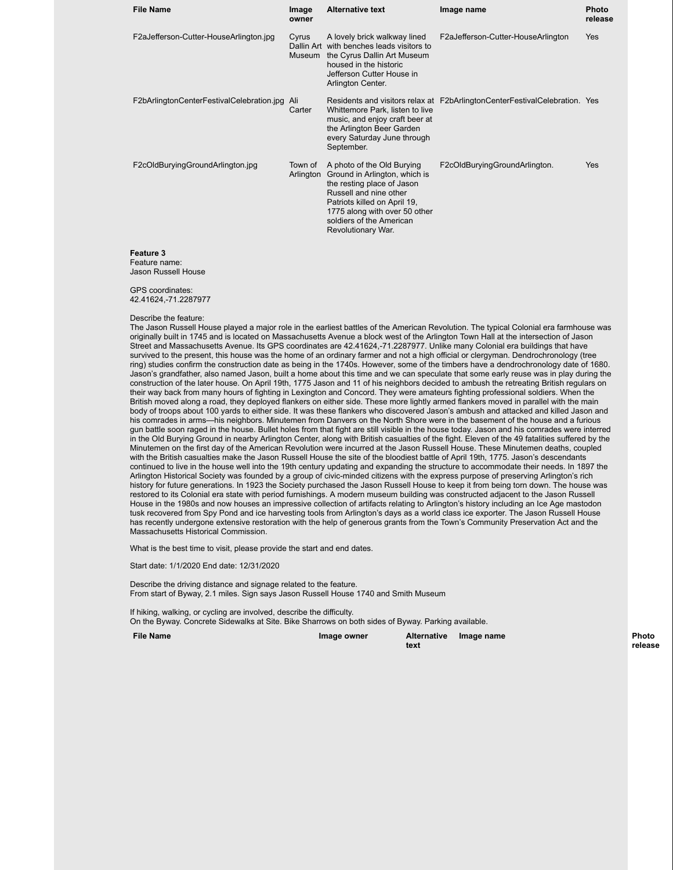| <b>File Name</b>                          | Image<br>owner       | <b>Alternative text</b>                                                                                                                                                                                                                | Image name                                                                 | <b>Photo</b><br>release |
|-------------------------------------------|----------------------|----------------------------------------------------------------------------------------------------------------------------------------------------------------------------------------------------------------------------------------|----------------------------------------------------------------------------|-------------------------|
| F2aJefferson-Cutter-HouseArlington.jpg    | Cyrus                | A lovely brick walkway lined<br>Dallin Art with benches leads visitors to<br>Museum the Cyrus Dallin Art Museum<br>housed in the historic<br>Jefferson Cutter House in<br>Arlington Center.                                            | F2aJefferson-Cutter-HouseArlington                                         | Yes                     |
| F2bArlingtonCenterFestivalCelebration.jpg | Ali<br>Carter        | Whittemore Park, listen to live<br>music, and enjoy craft beer at<br>the Arlington Beer Garden<br>every Saturday June through<br>September.                                                                                            | Residents and visitors relax at F2bArlingtonCenterFestivalCelebration. Yes |                         |
| F2cOldBuryingGroundArlington.jpg          | Town of<br>Arlington | A photo of the Old Burying<br>Ground in Arlington, which is<br>the resting place of Jason<br>Russell and nine other<br>Patriots killed on April 19,<br>1775 along with over 50 other<br>soldiers of the American<br>Revolutionary War. | F2cOldBuryingGroundArlington.                                              | Yes                     |
| <b>Feature 3</b>                          |                      |                                                                                                                                                                                                                                        |                                                                            |                         |

Feature name: Jason Russell House

GPS coordinates: 42.41624,-71.2287977

#### Describe the feature:

The Jason Russell House played a major role in the earliest battles of the American Revolution. The typical Colonial era farmhouse was originally built in 1745 and is located on Massachusetts Avenue a block west of the Arlington Town Hall at the intersection of Jason Street and Massachusetts Avenue. Its GPS coordinates are 42.41624,-71.2287977. Unlike many Colonial era buildings that have survived to the present, this house was the home of an ordinary farmer and not a high official or clergyman. Dendrochronology (tree ring) studies confirm the construction date as being in the 1740s. However, some of the timbers have a dendrochronology date of 1680. Jason's grandfather, also named Jason, built a home about this time and we can speculate that some early reuse was in play during the construction of the later house. On April 19th, 1775 Jason and 11 of his neighbors decided to ambush the retreating British regulars on their way back from many hours of fighting in Lexington and Concord. They were amateurs fighting professional soldiers. When the British moved along a road, they deployed flankers on either side. These more lightly armed flankers moved in parallel with the main body of troops about 100 yards to either side. It was these flankers who discovered Jason's ambush and attacked and killed Jason and his comrades in arms—his neighbors. Minutemen from Danvers on the North Shore were in the basement of the house and a furious gun battle soon raged in the house. Bullet holes from that fight are still visible in the house today. Jason and his comrades were interred in the Old Burying Ground in nearby Arlington Center, along with British casualties of the fight. Eleven of the 49 fatalities suffered by the Minutemen on the first day of the American Revolution were incurred at the Jason Russell House. These Minutemen deaths, coupled with the British casualties make the Jason Russell House the site of the bloodiest battle of April 19th, 1775. Jason's descendants continued to live in the house well into the 19th century updating and expanding the structure to accommodate their needs. In 1897 the Arlington Historical Society was founded by a group of civic-minded citizens with the express purpose of preserving Arlington's rich history for future generations. In 1923 the Society purchased the Jason Russell House to keep it from being torn down. The house was restored to its Colonial era state with period furnishings. A modern museum building was constructed adjacent to the Jason Russell House in the 1980s and now houses an impressive collection of artifacts relating to Arlington's history including an Ice Age mastodon tusk recovered from Spy Pond and ice harvesting tools from Arlington's days as a world class ice exporter. The Jason Russell House has recently undergone extensive restoration with the help of generous grants from the Town's Community Preservation Act and the Massachusetts Historical Commission.

What is the best time to visit, please provide the start and end dates.

Start date: 1/1/2020 End date: 12/31/2020

Describe the driving distance and signage related to the feature. From start of Byway, 2.1 miles. Sign says Jason Russell House 1740 and Smith Museum

If hiking, walking, or cycling are involved, describe the difficulty. On the Byway. Concrete Sidewalks at Site. Bike Sharrows on both sides of Byway. Parking available.

**File Name Image owner Image owner** 

**text**

**Image name** *Photo* **release**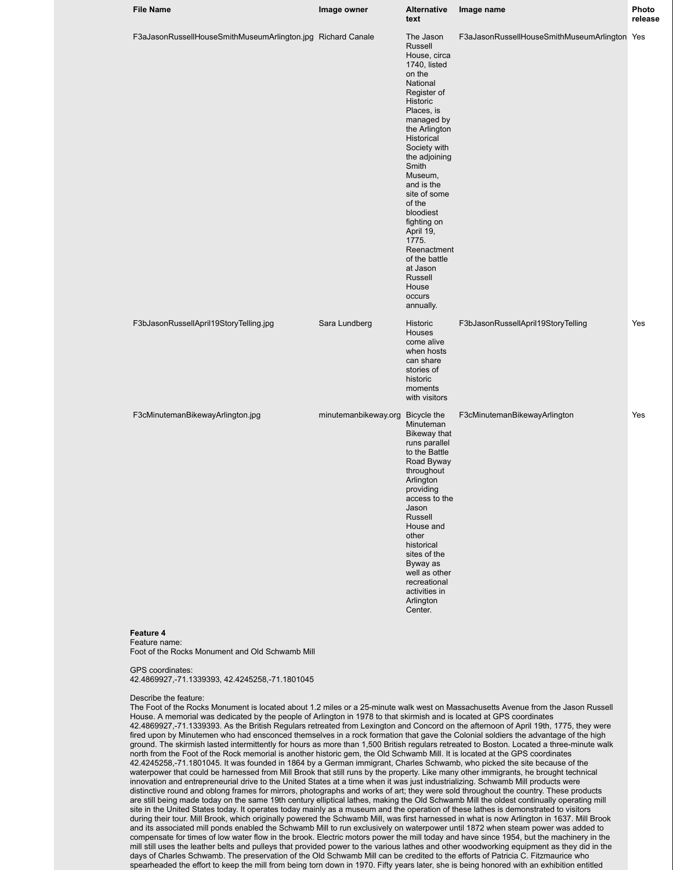| <b>File Name</b>                                            | Image owner                      | <b>Alternative</b><br>text                                                                                                                                                                                                                                                                                                                                                                             | Image name                                   | Photo<br>release |
|-------------------------------------------------------------|----------------------------------|--------------------------------------------------------------------------------------------------------------------------------------------------------------------------------------------------------------------------------------------------------------------------------------------------------------------------------------------------------------------------------------------------------|----------------------------------------------|------------------|
| F3aJasonRussellHouseSmithMuseumArlington.jpg Richard Canale |                                  | The Jason<br>Russell<br>House, circa<br>1740, listed<br>on the<br>National<br>Register of<br>Historic<br>Places, is<br>managed by<br>the Arlington<br>Historical<br>Society with<br>the adjoining<br>Smith<br>Museum,<br>and is the<br>site of some<br>of the<br>bloodiest<br>fighting on<br>April 19,<br>1775.<br>Reenactment<br>of the battle<br>at Jason<br>Russell<br>House<br>occurs<br>annually. | F3aJasonRussellHouseSmithMuseumArlington Yes |                  |
| F3bJasonRussellApril19StoryTelling.jpg                      | Sara Lundberg                    | Historic<br><b>Houses</b><br>come alive<br>when hosts<br>can share<br>stories of<br>historic<br>moments<br>with visitors                                                                                                                                                                                                                                                                               | F3bJasonRussellApril19StoryTelling           | Yes              |
| F3cMinutemanBikewayArlington.jpg<br>Feature 4               | minutemanbikeway.org Bicycle the | Minuteman<br>Bikeway that<br>runs parallel<br>to the Battle<br>Road Byway<br>throughout<br>Arlington<br>providing<br>access to the<br>Jason<br>Russell<br>House and<br>other<br>historical<br>sites of the<br>Byway as<br>well as other<br>recreational<br>activities in<br>Arlington<br>Center.                                                                                                       | F3cMinutemanBikewayArlington                 | Yes              |

Foot of the Rocks Monument and Old Schwamb Mill

#### GPS coordinates:

42.4869927,-71.1339393, 42.4245258,-71.1801045

#### Describe the feature:

The Foot of the Rocks Monument is located about 1.2 miles or a 25-minute walk west on Massachusetts Avenue from the Jason Russell House. A memorial was dedicated by the people of Arlington in 1978 to that skirmish and is located at GPS coordinates 42.4869927,-71.1339393. As the British Regulars retreated from Lexington and Concord on the afternoon of April 19th, 1775, they were fired upon by Minutemen who had ensconced themselves in a rock formation that gave the Colonial soldiers the advantage of the high ground. The skirmish lasted intermittently for hours as more than 1,500 British regulars retreated to Boston. Located a three-minute walk north from the Foot of the Rock memorial is another historic gem, the Old Schwamb Mill. It is located at the GPS coordinates 42.4245258,-71.1801045. It was founded in 1864 by a German immigrant, Charles Schwamb, who picked the site because of the waterpower that could be harnessed from Mill Brook that still runs by the property. Like many other immigrants, he brought technical innovation and entrepreneurial drive to the United States at a time when it was just industrializing. Schwamb Mill products were distinctive round and oblong frames for mirrors, photographs and works of art; they were sold throughout the country. These products are still being made today on the same 19th century elliptical lathes, making the Old Schwamb Mill the oldest continually operating mill site in the United States today. It operates today mainly as a museum and the operation of these lathes is demonstrated to visitors during their tour. Mill Brook, which originally powered the Schwamb Mill, was first harnessed in what is now Arlington in 1637. Mill Brook and its associated mill ponds enabled the Schwamb Mill to run exclusively on waterpower until 1872 when steam power was added to compensate for times of low water flow in the brook. Electric motors power the mill today and have since 1954, but the machinery in the mill still uses the leather belts and pulleys that provided power to the various lathes and other woodworking equipment as they did in the days of Charles Schwamb. The preservation of the Old Schwamb Mill can be credited to the efforts of Patricia C. Fitzmaurice who spearheaded the effort to keep the mill from being torn down in 1970. Fifty years later, she is being honored with an exhibition entitled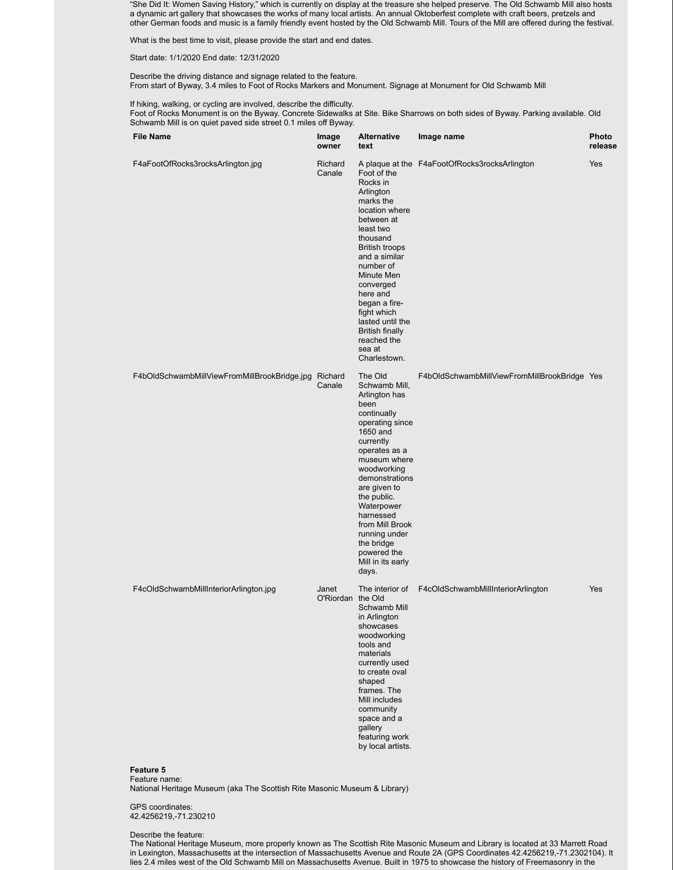"She Did It: Women Saving History," which is currently on display at the treasure she helped preserve. The Old Schwamb Mill also hosts a dynamic art gallery that showcases the works of many local artists. An annual Oktoberfest complete with craft beers, pretzels and other German foods and music is a family friendly event hosted by the Old Schwamb Mill. Tours of the Mill are offered during the festival.

What is the best time to visit, please provide the start and end dates.

Start date: 1/1/2020 End date: 12/31/2020

Describe the driving distance and signage related to the feature. From start of Byway, 3.4 miles to Foot of Rocks Markers and Monument. Signage at Monument for Old Schwamb Mill

If hiking, walking, or cycling are involved, describe the difficulty.

Foot of Rocks Monument is on the Byway. Concrete Sidewalks at Site. Bike Sharrows on both sides of Byway. Parking available. Old Schwamb Mill is on quiet paved side street 0.1 miles off Byway.

| <b>File Name</b>                                                          | Image<br>owner             | <b>Alternative</b><br>text                                                                                                                                                                                                                                                                                                              | Image name                                    | Photo<br>release |
|---------------------------------------------------------------------------|----------------------------|-----------------------------------------------------------------------------------------------------------------------------------------------------------------------------------------------------------------------------------------------------------------------------------------------------------------------------------------|-----------------------------------------------|------------------|
| F4aFootOfRocks3rocksArlington.jpg                                         | Richard<br>Canale          | Foot of the<br>Rocks in<br>Arlington<br>marks the<br>location where<br>between at<br>least two<br>thousand<br><b>British troops</b><br>and a similar<br>number of<br>Minute Men<br>converged<br>here and<br>began a fire-<br>fight which<br>lasted until the<br><b>British finally</b><br>reached the<br>sea at<br>Charlestown.         | A plaque at the F4aFootOfRocks3rocksArlington | Yes              |
| F4bOldSchwambMillViewFromMillBrookBridge.jpg Richard                      | Canale                     | The Old<br>Schwamb Mill,<br>Arlington has<br>been<br>continually<br>operating since<br>1650 and<br>currently<br>operates as a<br>museum where<br>woodworking<br>demonstrations<br>are given to<br>the public.<br>Waterpower<br>harnessed<br>from Mill Brook<br>running under<br>the bridge<br>powered the<br>Mill in its early<br>days. | F4bOldSchwambMillViewFromMillBrookBridge Yes  |                  |
| F4cOldSchwambMillInteriorArlington.jpg<br>Feature 5<br>Feature name:      | Janet<br>O'Riordan the Old | The interior of<br>Schwamb Mill<br>in Arlington<br>showcases<br>woodworking<br>tools and<br>materials<br>currently used<br>to create oval<br>shaped<br>frames. The<br>Mill includes<br>community<br>space and a<br>gallery<br>featuring work<br>by local artists.                                                                       | F4cOldSchwambMillInteriorArlington            | Yes              |
| National Heritage Museum (aka The Scottish Rite Masonic Museum & Library) |                            |                                                                                                                                                                                                                                                                                                                                         |                                               |                  |
| GPS coordinates:                                                          |                            |                                                                                                                                                                                                                                                                                                                                         |                                               |                  |

42.4256219,-71.230210

Describe the feature:

The National Heritage Museum, more properly known as The Scottish Rite Masonic Museum and Library is located at 33 Marrett Road in Lexington, Massachusetts at the intersection of Massachusetts Avenue and Route 2A (GPS Coordinates 42.4256219,-71.2302104). It lies 2.4 miles west of the Old Schwamb Mill on Massachusetts Avenue. Built in 1975 to showcase the history of Freemasonry in the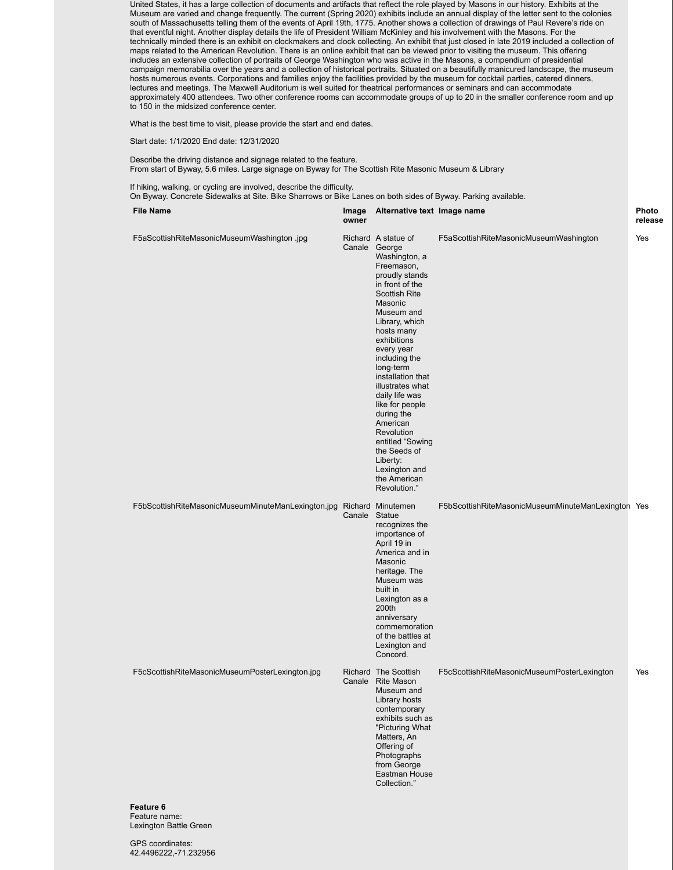United States, it has a large collection of documents and artifacts that reflect the role played by Masons in our history. Exhibits at the Museum are varied and change frequently. The current (Spring 2020) exhibits include an annual display of the letter sent to the colonies south of Massachusetts telling them of the events of April 19th, 1775. Another shows a collection of drawings of Paul Revere's ride on that eventful night. Another display details the life of President William McKinley and his involvement with the Masons. For the technically minded there is an exhibit on clockmakers and clock collecting. An exhibit that just closed in late 2019 included a collection of maps related to the American Revolution. There is an online exhibit that can be viewed prior to visiting the museum. This offering includes an extensive collection of portraits of George Washington who was active in the Masons, a compendium of presidential campaign memorabilia over the years and a collection of historical portraits. Situated on a beautifully manicured landscape, the museum hosts numerous events. Corporations and families enjoy the facilities provided by the museum for cocktail parties, catered dinners, lectures and meetings. The Maxwell Auditorium is well suited for theatrical performances or seminars and can accommodate approximately 400 attendees. Two other conference rooms can accommodate groups of up to 20 in the smaller conference room and up to 150 in the midsized conference center.

What is the best time to visit, please provide the start and end dates.

Start date: 1/1/2020 End date: 12/31/2020

Describe the driving distance and signage related to the feature. From start of Byway, 5.6 miles. Large signage on Byway for The Scottish Rite Masonic Museum & Library

If hiking, walking, or cycling are involved, describe the difficulty. On Byway. Concrete Sidewalks at Site. Bike Sharrows or Bike Lanes on both sides of Byway. Parking available.

| <b>File Name</b>                                     | Image<br>owner | Alternative text Image name                                                                                                                                                                                                                                                                                                                                                                                                                                |                                                    | Photo<br>release |
|------------------------------------------------------|----------------|------------------------------------------------------------------------------------------------------------------------------------------------------------------------------------------------------------------------------------------------------------------------------------------------------------------------------------------------------------------------------------------------------------------------------------------------------------|----------------------------------------------------|------------------|
| F5aScottishRiteMasonicMuseumWashington .jpg          | Canale George  | Richard A statue of<br>Washington, a<br>Freemason,<br>proudly stands<br>in front of the<br><b>Scottish Rite</b><br>Masonic<br>Museum and<br>Library, which<br>hosts many<br>exhibitions<br>every year<br>including the<br>long-term<br>installation that<br>illustrates what<br>daily life was<br>like for people<br>during the<br>American<br>Revolution<br>entitled "Sowing<br>the Seeds of<br>Liberty:<br>Lexington and<br>the American<br>Revolution." | F5aScottishRiteMasonicMuseumWashington             | Yes              |
| F5bScottishRiteMasonicMuseumMinuteManLexington.jpg   | Canale Statue  | Richard Minutemen<br>recognizes the<br>importance of<br>April 19 in<br>America and in<br>Masonic<br>heritage. The<br>Museum was<br>built in<br>Lexington as a<br>200th<br>anniversary<br>commemoration<br>of the battles at<br>Lexington and<br>Concord.                                                                                                                                                                                                   | F5bScottishRiteMasonicMuseumMinuteManLexington Yes |                  |
| F5cScottishRiteMasonicMuseumPosterLexington.jpg      |                | Richard The Scottish<br>Canale Rite Mason<br>Museum and<br>Library hosts<br>contemporary<br>exhibits such as<br>"Picturing What<br>Matters, An<br>Offering of<br>Photographs<br>from George<br>Eastman House<br>Collection."                                                                                                                                                                                                                               | F5cScottishRiteMasonicMuseumPosterLexington        | Yes              |
| Feature 6<br>Feature name:<br>Lexington Battle Green |                |                                                                                                                                                                                                                                                                                                                                                                                                                                                            |                                                    |                  |

GPS coordinates: 42.4496222,-71.232956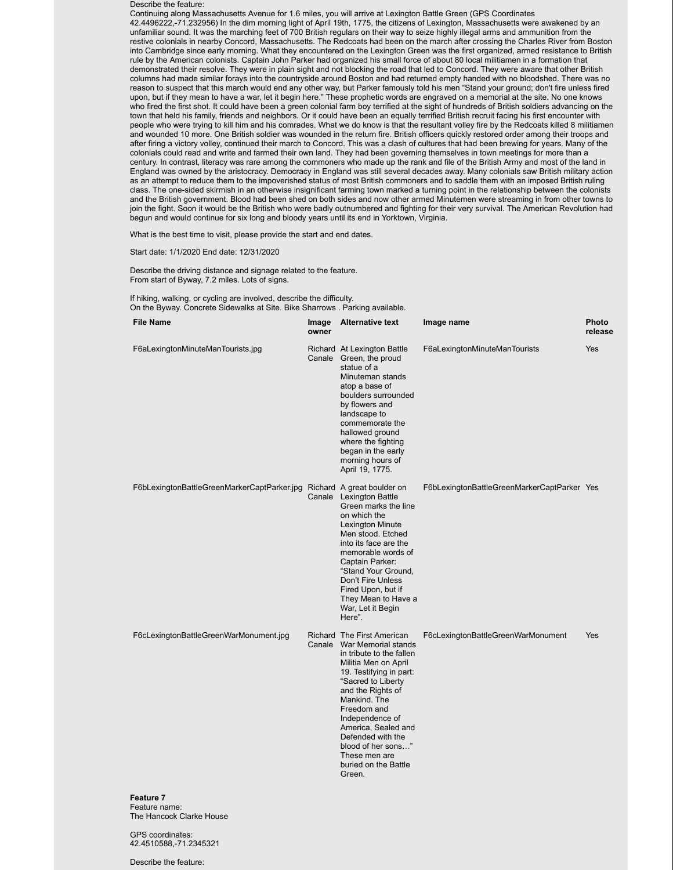Describe the feature:

Continuing along Massachusetts Avenue for 1.6 miles, you will arrive at Lexington Battle Green (GPS Coordinates 42.4496222,-71.232956) In the dim morning light of April 19th, 1775, the citizens of Lexington, Massachusetts were awakened by an unfamiliar sound. It was the marching feet of 700 British regulars on their way to seize highly illegal arms and ammunition from the restive colonials in nearby Concord, Massachusetts. The Redcoats had been on the march after crossing the Charles River from Boston into Cambridge since early morning. What they encountered on the Lexington Green was the first organized, armed resistance to British rule by the American colonists. Captain John Parker had organized his small force of about 80 local militiamen in a formation that demonstrated their resolve. They were in plain sight and not blocking the road that led to Concord. They were aware that other British columns had made similar forays into the countryside around Boston and had returned empty handed with no bloodshed. There was no reason to suspect that this march would end any other way, but Parker famously told his men "Stand your ground; don't fire unless fired upon, but if they mean to have a war, let it begin here." These prophetic words are engraved on a memorial at the site. No one knows who fired the first shot. It could have been a green colonial farm boy terrified at the sight of hundreds of British soldiers advancing on the town that held his family, friends and neighbors. Or it could have been an equally terrified British recruit facing his first encounter with people who were trying to kill him and his comrades. What we do know is that the resultant volley fire by the Redcoats killed 8 militiamen and wounded 10 more. One British soldier was wounded in the return fire. British officers quickly restored order among their troops and after firing a victory volley, continued their march to Concord. This was a clash of cultures that had been brewing for years. Many of the colonials could read and write and farmed their own land. They had been governing themselves in town meetings for more than a century. In contrast, literacy was rare among the commoners who made up the rank and file of the British Army and most of the land in England was owned by the aristocracy. Democracy in England was still several decades away. Many colonials saw British military action as an attempt to reduce them to the impoverished status of most British commoners and to saddle them with an imposed British ruling class. The one-sided skirmish in an otherwise insignificant farming town marked a turning point in the relationship between the colonists and the British government. Blood had been shed on both sides and now other armed Minutemen were streaming in from other towns to join the fight. Soon it would be the British who were badly outnumbered and fighting for their very survival. The American Revolution had begun and would continue for six long and bloody years until its end in Yorktown, Virginia.

What is the best time to visit, please provide the start and end dates.

Start date: 1/1/2020 End date: 12/31/2020

Describe the driving distance and signage related to the feature. From start of Byway, 7.2 miles. Lots of signs.

If hiking, walking, or cycling are involved, describe the difficulty. On the Byway. Concrete Sidewalks at Site. Bike Sharrows . Parking available.

| <b>File Name</b>                            | Image<br>owner | <b>Alternative text</b>                                                                                                                                                                                                                                                                                                                                   | Image name                                  | Photo<br>release |
|---------------------------------------------|----------------|-----------------------------------------------------------------------------------------------------------------------------------------------------------------------------------------------------------------------------------------------------------------------------------------------------------------------------------------------------------|---------------------------------------------|------------------|
| F6aLexingtonMinuteManTourists.jpg           |                | Richard At Lexington Battle<br>Canale Green, the proud<br>statue of a<br>Minuteman stands<br>atop a base of<br>boulders surrounded<br>by flowers and<br>landscape to<br>commemorate the<br>hallowed ground<br>where the fighting<br>began in the early<br>morning hours of<br>April 19, 1775.                                                             | F6aLexingtonMinuteManTourists               | Yes              |
| F6bLexingtonBattleGreenMarkerCaptParker.jpg |                | Richard A great boulder on<br>Canale Lexington Battle<br>Green marks the line<br>on which the<br>Lexington Minute<br>Men stood. Etched<br>into its face are the<br>memorable words of<br>Captain Parker:<br>"Stand Your Ground,<br>Don't Fire Unless<br>Fired Upon, but if<br>They Mean to Have a<br>War, Let it Begin<br>Here".                          | F6bLexingtonBattleGreenMarkerCaptParker Yes |                  |
| F6cLexingtonBattleGreenWarMonument.jpg      |                | Richard The First American<br>Canale War Memorial stands<br>in tribute to the fallen<br>Militia Men on April<br>19. Testifying in part:<br>"Sacred to Liberty<br>and the Rights of<br>Mankind. The<br>Freedom and<br>Independence of<br>America, Sealed and<br>Defended with the<br>blood of her sons"<br>These men are<br>buried on the Battle<br>Green. | F6cLexingtonBattleGreenWarMonument          | Yes              |
| <b>Feature 7</b>                            |                |                                                                                                                                                                                                                                                                                                                                                           |                                             |                  |

eature name The Hancock Clarke House

GPS coordinates: 42.4510588,-71.2345321

Describe the feature: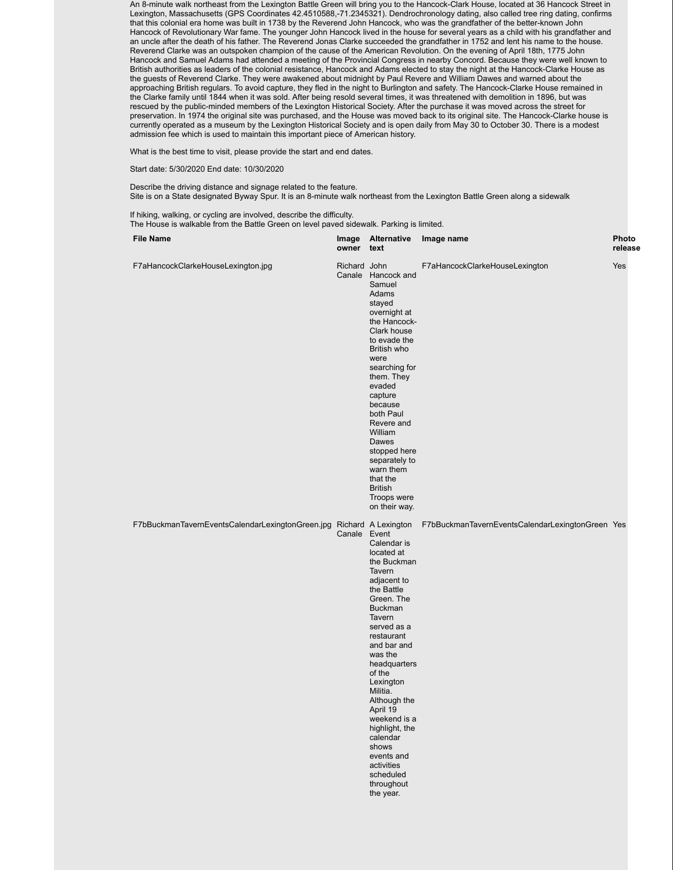An 8-minute walk northeast from the Lexington Battle Green will bring you to the Hancock-Clark House, located at 36 Hancock Street in Lexington, Massachusetts (GPS Coordinates 42.4510588,-71.2345321). Dendrochronology dating, also called tree ring dating, confirms that this colonial era home was built in 1738 by the Reverend John Hancock, who was the grandfather of the better-known John Hancock of Revolutionary War fame. The younger John Hancock lived in the house for several years as a child with his grandfather and an uncle after the death of his father. The Reverend Jonas Clarke succeeded the grandfather in 1752 and lent his name to the house. Reverend Clarke was an outspoken champion of the cause of the American Revolution. On the evening of April 18th, 1775 John Hancock and Samuel Adams had attended a meeting of the Provincial Congress in nearby Concord. Because they were well known to British authorities as leaders of the colonial resistance, Hancock and Adams elected to stay the night at the Hancock-Clarke House as the guests of Reverend Clarke. They were awakened about midnight by Paul Revere and William Dawes and warned about the approaching British regulars. To avoid capture, they fled in the night to Burlington and safety. The Hancock-Clarke House remained in the Clarke family until 1844 when it was sold. After being resold several times, it was threatened with demolition in 1896, but was rescued by the public-minded members of the Lexington Historical Society. After the purchase it was moved across the street for preservation. In 1974 the original site was purchased, and the House was moved back to its original site. The Hancock-Clarke house is currently operated as a museum by the Lexington Historical Society and is open daily from May 30 to October 30. There is a modest admission fee which is used to maintain this important piece of American history.

What is the best time to visit, please provide the start and end dates.

Start date: 5/30/2020 End date: 10/30/2020

Describe the driving distance and signage related to the feature. Site is on a State designated Byway Spur. It is an 8-minute walk northeast from the Lexington Battle Green along a sidewalk

**release**

If hiking, walking, or cycling are involved, describe the difficulty. The House is walkable from the Battle Green on level paved sidewalk. Parking is limited.

| <b>File Name</b>                                                     | owner text   | Image Alternative                                                                                                                                                                                                                                                                                                                                                                          | Image name                                       | Photo<br>release |
|----------------------------------------------------------------------|--------------|--------------------------------------------------------------------------------------------------------------------------------------------------------------------------------------------------------------------------------------------------------------------------------------------------------------------------------------------------------------------------------------------|--------------------------------------------------|------------------|
| F7aHancockClarkeHouseLexington.jpg                                   | Richard John | Canale Hancock and<br>Samuel<br>Adams<br>stayed<br>overnight at<br>the Hancock-<br>Clark house<br>to evade the<br>British who<br>were<br>searching for<br>them. They<br>evaded<br>capture<br>because<br>both Paul<br>Revere and<br>William<br>Dawes<br>stopped here<br>separately to<br>warn them<br>that the<br><b>British</b><br>Troops were<br>on their way.                            | F7aHancockClarkeHouseLexington                   | Yes              |
| F7bBuckmanTavernEventsCalendarLexingtonGreen.jpg Richard A Lexington | Canale Event | Calendar is<br>located at<br>the Buckman<br>Tavern<br>adjacent to<br>the Battle<br>Green. The<br><b>Buckman</b><br>Tavern<br>served as a<br>restaurant<br>and bar and<br>was the<br>headquarters<br>of the<br>Lexington<br>Militia.<br>Although the<br>April 19<br>weekend is a<br>highlight, the<br>calendar<br>shows<br>events and<br>activities<br>scheduled<br>throughout<br>the year. | F7bBuckmanTavernEventsCalendarLexingtonGreen Yes |                  |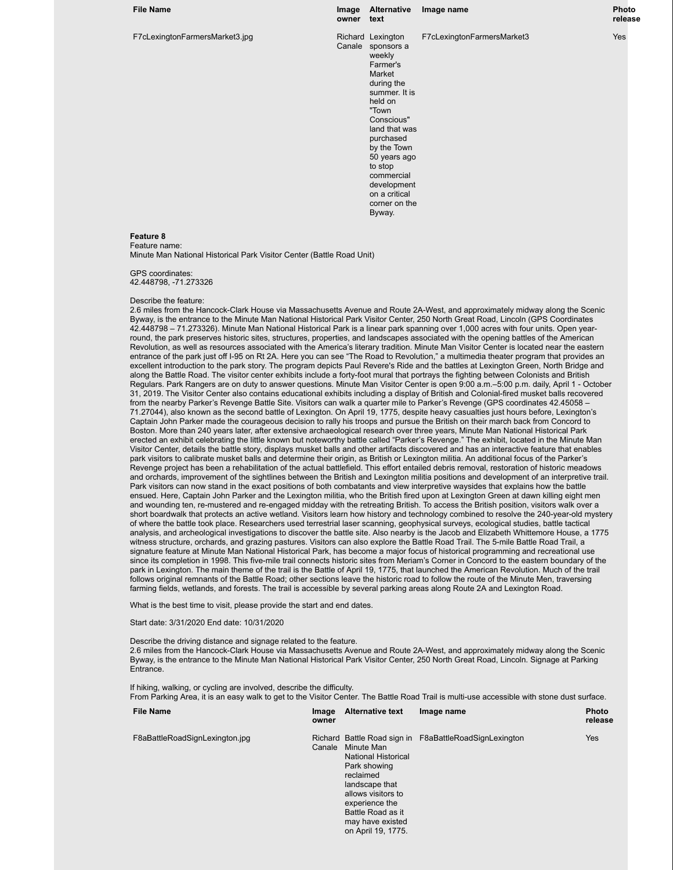#### F7cLexingtonFarmersMarket3.jpg

**File Name Image Alternative Image name Photo owner text** Canale sponsors a Richard Lexington .<br>weekly Farmer's Market during the summer. It is held on "Town Conscious" land that was purchased by the Town 50 years ago to stop commercial development on a critical corner on the Byway. F7cLexingtonFarmersMarket3 Yes

#### **Feature 8** Feature name:

Minute Man National Historical Park Visitor Center (Battle Road Unit)

GPS coordinates: 42.448798, -71.273326

#### Describe the feature:

2.6 miles from the Hancock-Clark House via Massachusetts Avenue and Route 2A-West, and approximately midway along the Scenic Byway, is the entrance to the Minute Man National Historical Park Visitor Center, 250 North Great Road, Lincoln (GPS Coordinates 42.448798 – 71.273326). Minute Man National Historical Park is a linear park spanning over 1,000 acres with four units. Open yearround, the park preserves historic sites, structures, properties, and landscapes associated with the opening battles of the American Revolution, as well as resources associated with the America's literary tradition. Minute Man Visitor Center is located near the eastern entrance of the park just off I-95 on Rt 2A. Here you can see "The Road to Revolution," a multimedia theater program that provides an excellent introduction to the park story. The program depicts Paul Revere's Ride and the battles at Lexington Green, North Bridge and along the Battle Road. The visitor center exhibits include a forty-foot mural that portrays the fighting between Colonists and British Regulars. Park Rangers are on duty to answer questions. Minute Man Visitor Center is open 9:00 a.m.–5:00 p.m. daily, April 1 - October 31, 2019. The Visitor Center also contains educational exhibits including a display of British and Colonial-fired musket balls recovered from the nearby Parker's Revenge Battle Site. Visitors can walk a quarter mile to Parker's Revenge (GPS coordinates 42.45058 – 71.27044), also known as the second battle of Lexington. On April 19, 1775, despite heavy casualties just hours before, Lexington's Captain John Parker made the courageous decision to rally his troops and pursue the British on their march back from Concord to Boston. More than 240 years later, after extensive archaeological research over three years, Minute Man National Historical Park erected an exhibit celebrating the little known but noteworthy battle called "Parker's Revenge." The exhibit, located in the Minute Man Visitor Center, details the battle story, displays musket balls and other artifacts discovered and has an interactive feature that enables park visitors to calibrate musket balls and determine their origin, as British or Lexington militia. An additional focus of the Parker's Revenge project has been a rehabilitation of the actual battlefield. This effort entailed debris removal, restoration of historic meadows and orchards, improvement of the sightlines between the British and Lexington militia positions and development of an interpretive trail. Park visitors can now stand in the exact positions of both combatants and view interpretive waysides that explains how the battle ensued. Here, Captain John Parker and the Lexington militia, who the British fired upon at Lexington Green at dawn killing eight men and wounding ten, re-mustered and re-engaged midday with the retreating British. To access the British position, visitors walk over a short boardwalk that protects an active wetland. Visitors learn how history and technology combined to resolve the 240-year-old mystery of where the battle took place. Researchers used terrestrial laser scanning, geophysical surveys, ecological studies, battle tactical analysis, and archeological investigations to discover the battle site. Also nearby is the Jacob and Elizabeth Whittemore House, a 1775 witness structure, orchards, and grazing pastures. Visitors can also explore the Battle Road Trail. The 5-mile Battle Road Trail, a signature feature at Minute Man National Historical Park, has become a major focus of historical programming and recreational use since its completion in 1998. This five-mile trail connects historic sites from Meriam's Corner in Concord to the eastern boundary of the park in Lexington. The main theme of the trail is the Battle of April 19, 1775, that launched the American Revolution. Much of the trail follows original remnants of the Battle Road; other sections leave the historic road to follow the route of the Minute Men, traversing farming fields, wetlands, and forests. The trail is accessible by several parking areas along Route 2A and Lexington Road.

What is the best time to visit, please provide the start and end dates.

#### Start date: 3/31/2020 End date: 10/31/2020

Describe the driving distance and signage related to the feature. 2.6 miles from the Hancock-Clark House via Massachusetts Avenue and Route 2A-West, and approximately midway along the Scenic Byway, is the entrance to the Minute Man National Historical Park Visitor Center, 250 North Great Road, Lincoln. Signage at Parking Entrance.

If hiking, walking, or cycling are involved, describe the difficulty. From Parking Area, it is an easy walk to get to the Visitor Center. The Battle Road Trail is multi-use accessible with stone dust surface.

| <b>File Name</b>               | Image<br>owner | <b>Alternative text</b>                                                                                                                                                                        | Image name                                             | <b>Photo</b><br>release |
|--------------------------------|----------------|------------------------------------------------------------------------------------------------------------------------------------------------------------------------------------------------|--------------------------------------------------------|-------------------------|
| F8aBattleRoadSignLexington.jpg | Canale         | Minute Man<br><b>National Historical</b><br>Park showing<br>reclaimed<br>landscape that<br>allows visitors to<br>experience the<br>Battle Road as it<br>may have existed<br>on April 19, 1775. | Richard Battle Road sign in F8aBattleRoadSignLexington | Yes                     |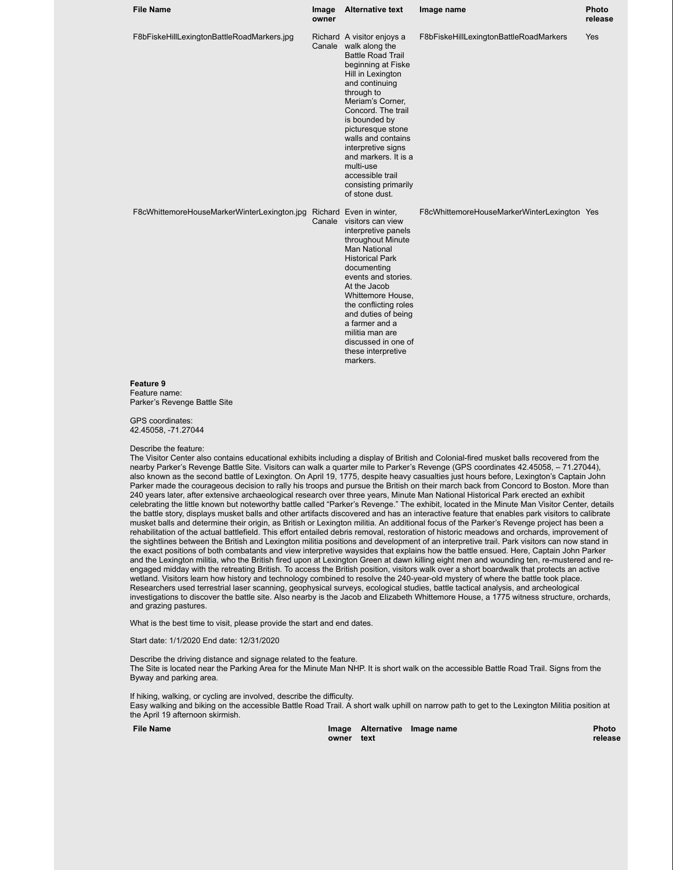| <b>File Name</b>                            | Image<br>owner | <b>Alternative text</b>                                                                                                                                                                                                                                                                                                                                                                   | Image name                                  | Photo<br>release |
|---------------------------------------------|----------------|-------------------------------------------------------------------------------------------------------------------------------------------------------------------------------------------------------------------------------------------------------------------------------------------------------------------------------------------------------------------------------------------|---------------------------------------------|------------------|
| F8bFiskeHillLexingtonBattleRoadMarkers.jpg  |                | Richard A visitor enjoys a<br>Canale walk along the<br><b>Battle Road Trail</b><br>beginning at Fiske<br>Hill in Lexington<br>and continuing<br>through to<br>Meriam's Corner.<br>Concord. The trail<br>is bounded by<br>picturesque stone<br>walls and contains<br>interpretive signs<br>and markers. It is a<br>multi-use<br>accessible trail<br>consisting primarily<br>of stone dust. | F8bFiskeHillLexingtonBattleRoadMarkers      | Yes              |
| F8cWhittemoreHouseMarkerWinterLexington.jpg |                | Richard Even in winter,<br>Canale visitors can view<br>interpretive panels<br>throughout Minute<br><b>Man National</b><br><b>Historical Park</b><br>documenting<br>events and stories.<br>At the Jacob<br>Whittemore House,<br>the conflicting roles<br>and duties of being<br>a farmer and a<br>militia man are<br>discussed in one of<br>these interpretive<br>markers.                 | F8cWhittemoreHouseMarkerWinterLexington Yes |                  |
| Feature 9                                   |                |                                                                                                                                                                                                                                                                                                                                                                                           |                                             |                  |

Feature name: Parker's Revenge Battle Site

GPS coordinates: 42.45058, -71.27044

#### Describe the feature:

The Visitor Center also contains educational exhibits including a display of British and Colonial-fired musket balls recovered from the nearby Parker's Revenge Battle Site. Visitors can walk a quarter mile to Parker's Revenge (GPS coordinates 42.45058, – 71.27044), also known as the second battle of Lexington. On April 19, 1775, despite heavy casualties just hours before, Lexington's Captain John Parker made the courageous decision to rally his troops and pursue the British on their march back from Concord to Boston. More than 240 years later, after extensive archaeological research over three years, Minute Man National Historical Park erected an exhibit celebrating the little known but noteworthy battle called "Parker's Revenge." The exhibit, located in the Minute Man Visitor Center, details the battle story, displays musket balls and other artifacts discovered and has an interactive feature that enables park visitors to calibrate musket balls and determine their origin, as British or Lexington militia. An additional focus of the Parker's Revenge project has been a rehabilitation of the actual battlefield. This effort entailed debris removal, restoration of historic meadows and orchards, improvement of the sightlines between the British and Lexington militia positions and development of an interpretive trail. Park visitors can now stand in the exact positions of both combatants and view interpretive waysides that explains how the battle ensued. Here, Captain John Parker and the Lexington militia, who the British fired upon at Lexington Green at dawn killing eight men and wounding ten, re-mustered and reengaged midday with the retreating British. To access the British position, visitors walk over a short boardwalk that protects an active wetland. Visitors learn how history and technology combined to resolve the 240-year-old mystery of where the battle took place. Researchers used terrestrial laser scanning, geophysical surveys, ecological studies, battle tactical analysis, and archeological investigations to discover the battle site. Also nearby is the Jacob and Elizabeth Whittemore House, a 1775 witness structure, orchards, and grazing pastures.

What is the best time to visit, please provide the start and end dates.

Start date: 1/1/2020 End date: 12/31/2020

Describe the driving distance and signage related to the feature. The Site is located near the Parking Area for the Minute Man NHP. It is short walk on the accessible Battle Road Trail. Signs from the Byway and parking area.

If hiking, walking, or cycling are involved, describe the difficulty. Easy walking and biking on the accessible Battle Road Trail. A short walk uphill on narrow path to get to the Lexington Militia position at the April 19 afternoon skirmish.

**File Name** 

**owner text Alternative Image name Photo**

**release**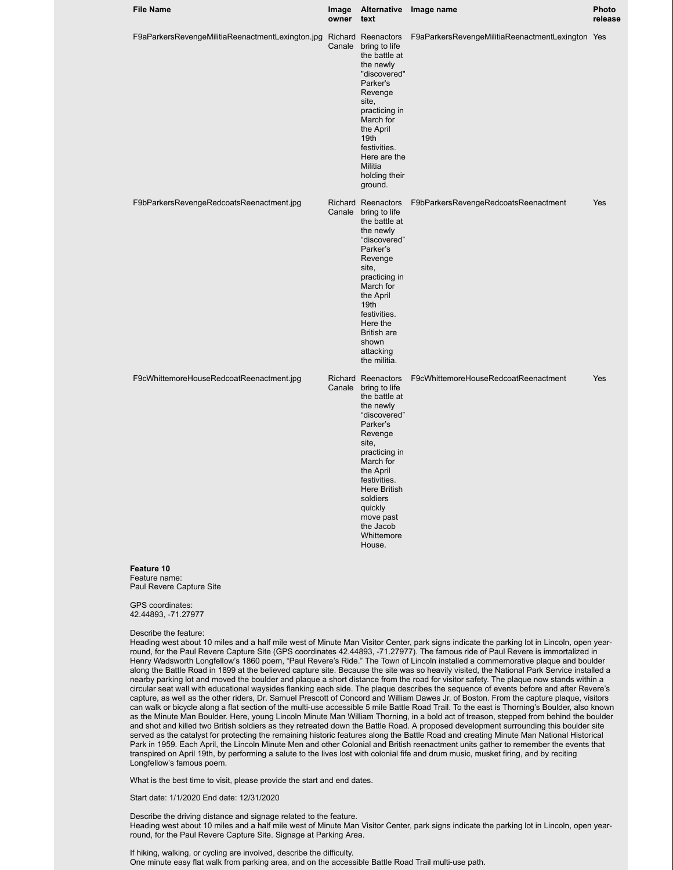| <b>File Name</b>                                                    | Image<br>owner | <b>Alternative</b><br>text                                                                                                                                                                                                                                                          | Image name                                       | Photo<br>release |
|---------------------------------------------------------------------|----------------|-------------------------------------------------------------------------------------------------------------------------------------------------------------------------------------------------------------------------------------------------------------------------------------|--------------------------------------------------|------------------|
| F9aParkersRevengeMilitiaReenactmentLexington.jpg Richard Reenactors |                | Canale bring to life<br>the battle at<br>the newly<br>"discovered"<br>Parker's<br>Revenge<br>site,<br>practicing in<br>March for<br>the April<br>19 <sub>th</sub><br>festivities.<br>Here are the<br>Militia<br>holding their<br>ground.                                            | F9aParkersRevengeMilitiaReenactmentLexington Yes |                  |
| F9bParkersRevengeRedcoatsReenactment.jpg                            |                | Richard Reenactors<br>Canale bring to life<br>the battle at<br>the newly<br>"discovered"<br>Parker's<br>Revenge<br>site,<br>practicing in<br>March for<br>the April<br>19th<br>festivities.<br>Here the<br><b>British are</b><br>shown<br>attacking<br>the militia.                 | F9bParkersRevengeRedcoatsReenactment             | Yes              |
| F9cWhittemoreHouseRedcoatReenactment.jpg                            |                | Richard Reenactors<br>Canale bring to life<br>the battle at<br>the newly<br>"discovered"<br>Parker's<br>Revenge<br>site,<br>practicing in<br>March for<br>the April<br>festivities.<br><b>Here British</b><br>soldiers<br>quickly<br>move past<br>the Jacob<br>Whittemore<br>House. | F9cWhittemoreHouseRedcoatReenactment             | Yes              |

#### **Feature 10** Feature name: Paul Revere Capture Site

GPS coordinates: 42.44893, -71.27977

#### Describe the feature:

Heading west about 10 miles and a half mile west of Minute Man Visitor Center, park signs indicate the parking lot in Lincoln, open yearround, for the Paul Revere Capture Site (GPS coordinates 42.44893, -71.27977). The famous ride of Paul Revere is immortalized in Henry Wadsworth Longfellow's 1860 poem, "Paul Revere's Ride." The Town of Lincoln installed a commemorative plaque and boulder along the Battle Road in 1899 at the believed capture site. Because the site was so heavily visited, the National Park Service installed a nearby parking lot and moved the boulder and plaque a short distance from the road for visitor safety. The plaque now stands within a circular seat wall with educational waysides flanking each side. The plaque describes the sequence of events before and after Revere's capture, as well as the other riders, Dr. Samuel Prescott of Concord and William Dawes Jr. of Boston. From the capture plaque, visitors can walk or bicycle along a flat section of the multi-use accessible 5 mile Battle Road Trail. To the east is Thorning's Boulder, also known as the Minute Man Boulder. Here, young Lincoln Minute Man William Thorning, in a bold act of treason, stepped from behind the boulder and shot and killed two British soldiers as they retreated down the Battle Road. A proposed development surrounding this boulder site served as the catalyst for protecting the remaining historic features along the Battle Road and creating Minute Man National Historical Park in 1959. Each April, the Lincoln Minute Men and other Colonial and British reenactment units gather to remember the events that transpired on April 19th, by performing a salute to the lives lost with colonial fife and drum music, musket firing, and by reciting Longfellow's famous poem.

What is the best time to visit, please provide the start and end dates.

Start date: 1/1/2020 End date: 12/31/2020

Describe the driving distance and signage related to the feature. Heading west about 10 miles and a half mile west of Minute Man Visitor Center, park signs indicate the parking lot in Lincoln, open yearround, for the Paul Revere Capture Site. Signage at Parking Area.

If hiking, walking, or cycling are involved, describe the difficulty. One minute easy flat walk from parking area, and on the accessible Battle Road Trail multi-use path.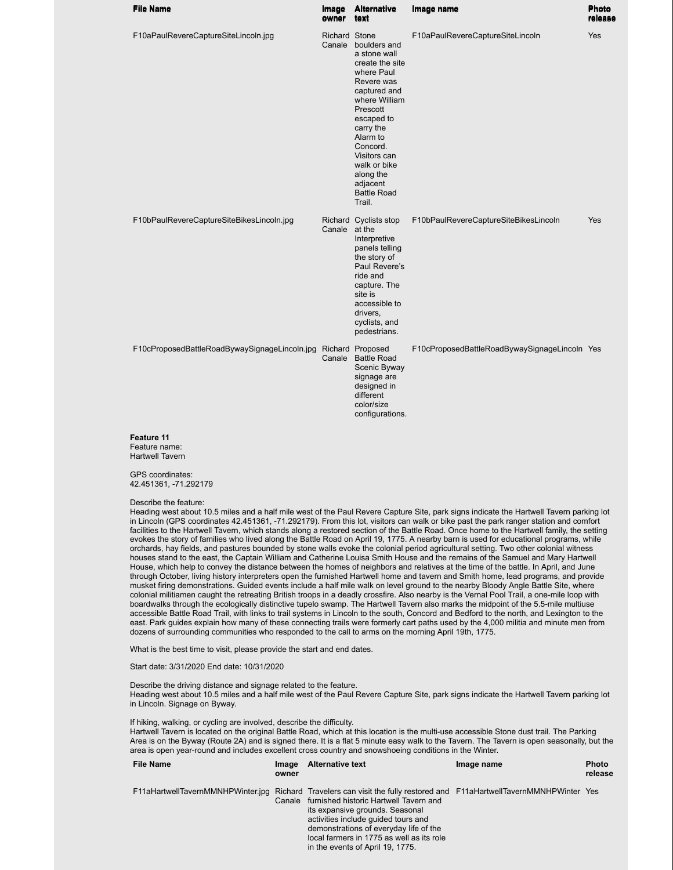| <b>File Name</b>                              | Image<br>owner          | <b>Alternative</b><br>text                                                                                                                                                                                                                                           | Image name                                    | <b>Photo</b><br>release |
|-----------------------------------------------|-------------------------|----------------------------------------------------------------------------------------------------------------------------------------------------------------------------------------------------------------------------------------------------------------------|-----------------------------------------------|-------------------------|
| F10aPaulRevereCaptureSiteLincoln.jpg          | Richard Stone<br>Canale | boulders and<br>a stone wall<br>create the site<br>where Paul<br>Revere was<br>captured and<br>where William<br>Prescott<br>escaped to<br>carry the<br>Alarm to<br>Concord.<br>Visitors can<br>walk or bike<br>along the<br>adjacent<br><b>Battle Road</b><br>Trail. | F10aPaulRevereCaptureSiteLincoln              | Yes                     |
| F10bPaulRevereCaptureSiteBikesLincoln.jpg     | Canale at the           | Richard Cyclists stop<br>Interpretive<br>panels telling<br>the story of<br>Paul Revere's<br>ride and<br>capture. The<br>site is<br>accessible to<br>drivers,<br>cyclists, and<br>pedestrians.                                                                        | F10bPaulRevereCaptureSiteBikesLincoln         | Yes                     |
| F10cProposedBattleRoadBywaySignageLincoln.jpg | Canale                  | Richard Proposed<br><b>Battle Road</b><br>Scenic Byway<br>signage are<br>designed in<br>different<br>color/size<br>configurations.                                                                                                                                   | F10cProposedBattleRoadBywaySignageLincoln Yes |                         |
| Feature 11<br>Feature name:                   |                         |                                                                                                                                                                                                                                                                      |                                               |                         |

Hartwell Tavern

GPS coordinates: 42.451361, -71.292179

Describe the feature:

Heading west about 10.5 miles and a half mile west of the Paul Revere Capture Site, park signs indicate the Hartwell Tavern parking lot in Lincoln (GPS coordinates 42.451361, -71.292179). From this lot, visitors can walk or bike past the park ranger station and comfort facilities to the Hartwell Tavern, which stands along a restored section of the Battle Road. Once home to the Hartwell family, the setting evokes the story of families who lived along the Battle Road on April 19, 1775. A nearby barn is used for educational programs, while orchards, hay fields, and pastures bounded by stone walls evoke the colonial period agricultural setting. Two other colonial witness houses stand to the east, the Captain William and Catherine Louisa Smith House and the remains of the Samuel and Mary Hartwell House, which help to convey the distance between the homes of neighbors and relatives at the time of the battle. In April, and June through October, living history interpreters open the furnished Hartwell home and tavern and Smith home, lead programs, and provide musket firing demonstrations. Guided events include a half mile walk on level ground to the nearby Bloody Angle Battle Site, where colonial militiamen caught the retreating British troops in a deadly crossfire. Also nearby is the Vernal Pool Trail, a one-mile loop with boardwalks through the ecologically distinctive tupelo swamp. The Hartwell Tavern also marks the midpoint of the 5.5-mile multiuse accessible Battle Road Trail, with links to trail systems in Lincoln to the south, Concord and Bedford to the north, and Lexington to the east. Park guides explain how many of these connecting trails were formerly cart paths used by the 4,000 militia and minute men from dozens of surrounding communities who responded to the call to arms on the morning April 19th, 1775.

What is the best time to visit, please provide the start and end dates.

Start date: 3/31/2020 End date: 10/31/2020

Describe the driving distance and signage related to the feature.

Heading west about 10.5 miles and a half mile west of the Paul Revere Capture Site, park signs indicate the Hartwell Tavern parking lot in Lincoln. Signage on Byway.

If hiking, walking, or cycling are involved, describe the difficulty.

Hartwell Tavern is located on the original Battle Road, which at this location is the multi-use accessible Stone dust trail. The Parking Area is on the Byway (Route 2A) and is signed there. It is a flat 5 minute easy walk to the Tavern. The Tavern is open seasonally, but the area is open year-round and includes excellent cross country and snowshoeing conditions in the Winter.

| <b>File Name</b> | <b>Image</b><br>owner | <b>Alternative text</b>                                                                                                                                                                                                                                                                                                                                                      | Image name | <b>Photo</b><br>release |
|------------------|-----------------------|------------------------------------------------------------------------------------------------------------------------------------------------------------------------------------------------------------------------------------------------------------------------------------------------------------------------------------------------------------------------------|------------|-------------------------|
|                  |                       | F11aHartwellTavernMMNHPWinter.jpg Richard Travelers can visit the fully restored and F11aHartwellTavernMMNHPWinter Yes<br>Canale furnished historic Hartwell Tavern and<br>its expansive grounds. Seasonal<br>activities include quided tours and<br>demonstrations of everyday life of the<br>local farmers in 1775 as well as its role<br>in the events of April 19, 1775. |            |                         |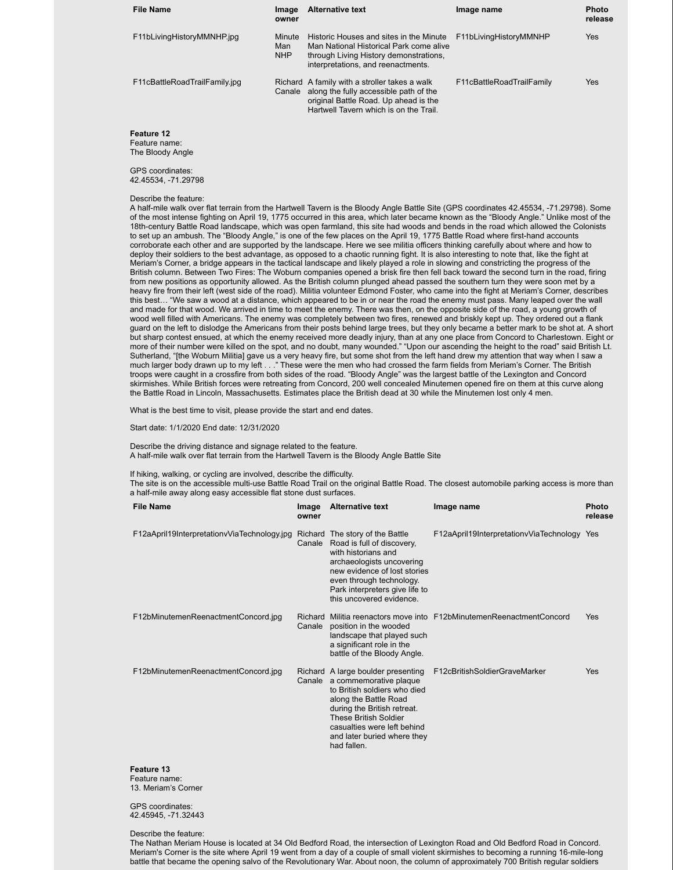| <b>File Name</b>              | Image<br>owner              | <b>Alternative text</b>                                                                                                                                                    | Image name                | <b>Photo</b><br>release |
|-------------------------------|-----------------------------|----------------------------------------------------------------------------------------------------------------------------------------------------------------------------|---------------------------|-------------------------|
| F11bLivingHistoryMMNHP.jpg    | Minute<br>Man<br><b>NHP</b> | Historic Houses and sites in the Minute<br>Man National Historical Park come alive<br>through Living History demonstrations,<br>interpretations, and reenactments.         | F11bLivingHistoryMMNHP    | Yes                     |
| F11cBattleRoadTrailFamily.jpg | Canale                      | Richard A family with a stroller takes a walk<br>along the fully accessible path of the<br>original Battle Road. Up ahead is the<br>Hartwell Tavern which is on the Trail. | F11cBattleRoadTrailFamily | Yes                     |

**Feature 12** Feature name: The Bloody Angle

GPS coordinates: 42.45534, -71.29798

#### Describe the feature:

A half-mile walk over flat terrain from the Hartwell Tavern is the Bloody Angle Battle Site (GPS coordinates 42.45534, -71.29798). Some of the most intense fighting on April 19, 1775 occurred in this area, which later became known as the "Bloody Angle." Unlike most of the 18th-century Battle Road landscape, which was open farmland, this site had woods and bends in the road which allowed the Colonists to set up an ambush. The "Bloody Angle," is one of the few places on the April 19, 1775 Battle Road where first-hand accounts corroborate each other and are supported by the landscape. Here we see militia officers thinking carefully about where and how to deploy their soldiers to the best advantage, as opposed to a chaotic running fight. It is also interesting to note that, like the fight at Meriam's Corner, a bridge appears in the tactical landscape and likely played a role in slowing and constricting the progress of the British column. Between Two Fires: The Woburn companies opened a brisk fire then fell back toward the second turn in the road, firing from new positions as opportunity allowed. As the British column plunged ahead passed the southern turn they were soon met by a heavy fire from their left (west side of the road). Militia volunteer Edmond Foster, who came into the fight at Meriam's Corner, describes this best… "We saw a wood at a distance, which appeared to be in or near the road the enemy must pass. Many leaped over the wall and made for that wood. We arrived in time to meet the enemy. There was then, on the opposite side of the road, a young growth of wood well filled with Americans. The enemy was completely between two fires, renewed and briskly kept up. They ordered out a flank guard on the left to dislodge the Americans from their posts behind large trees, but they only became a better mark to be shot at. A short but sharp contest ensued, at which the enemy received more deadly injury, than at any one place from Concord to Charlestown. Eight or more of their number were killed on the spot, and no doubt, many wounded." "Upon our ascending the height to the road" said British Lt. Sutherland, "[the Woburn Militia] gave us a very heavy fire, but some shot from the left hand drew my attention that way when I saw a much larger body drawn up to my left . . ." These were the men who had crossed the farm fields from Meriam's Corner. The British troops were caught in a crossfire from both sides of the road. "Bloody Angle" was the largest battle of the Lexington and Concord skirmishes. While British forces were retreating from Concord, 200 well concealed Minutemen opened fire on them at this curve along the Battle Road in Lincoln, Massachusetts. Estimates place the British dead at 30 while the Minutemen lost only 4 men.

What is the best time to visit, please provide the start and end dates.

Start date: 1/1/2020 End date: 12/31/2020

Describe the driving distance and signage related to the feature. A half-mile walk over flat terrain from the Hartwell Tavern is the Bloody Angle Battle Site

If hiking, walking, or cycling are involved, describe the difficulty.

The site is on the accessible multi-use Battle Road Trail on the original Battle Road. The closest automobile parking access is more than a half-mile away along easy accessible flat stone dust surfaces.

| <b>File Name</b>                            | Image<br>owner    | <b>Alternative text</b>                                                                                                                                                                                                                                                  | Image name                                                   | <b>Photo</b><br>release |
|---------------------------------------------|-------------------|--------------------------------------------------------------------------------------------------------------------------------------------------------------------------------------------------------------------------------------------------------------------------|--------------------------------------------------------------|-------------------------|
| F12aApril19InterpretationvViaTechnology.jpg | Canale            | Richard The story of the Battle<br>Road is full of discovery,<br>with historians and<br>archaeologists uncovering<br>new evidence of lost stories<br>even through technology.<br>Park interpreters give life to<br>this uncovered evidence.                              | F12aApril19InterpretationvViaTechnology Yes                  |                         |
| F12bMinutemenReenactmentConcord.jpg         | Richard<br>Canale | position in the wooded<br>landscape that played such<br>a significant role in the<br>battle of the Bloody Angle.                                                                                                                                                         | Militia reenactors move into F12bMinutemenReenactmentConcord | Yes                     |
| F12bMinutemenReenactmentConcord.jpg         |                   | Richard A large boulder presenting<br>Canale a commemorative plaque<br>to British soldiers who died<br>along the Battle Road<br>during the British retreat.<br><b>These British Soldier</b><br>casualties were left behind<br>and later buried where they<br>had fallen. | F12cBritishSoldierGraveMarker                                | Yes                     |

**Feature 13** Feature name: 13. Meriam's Corner

GPS coordinates: 42.45945, -71.32443

Describe the feature:

The Nathan Meriam House is located at 34 Old Bedford Road, the intersection of Lexington Road and Old Bedford Road in Concord. Meriam's Corner is the site where April 19 went from a day of a couple of small violent skirmishes to becoming a running 16-mile-long battle that became the opening salvo of the Revolutionary War. About noon, the column of approximately 700 British regular soldiers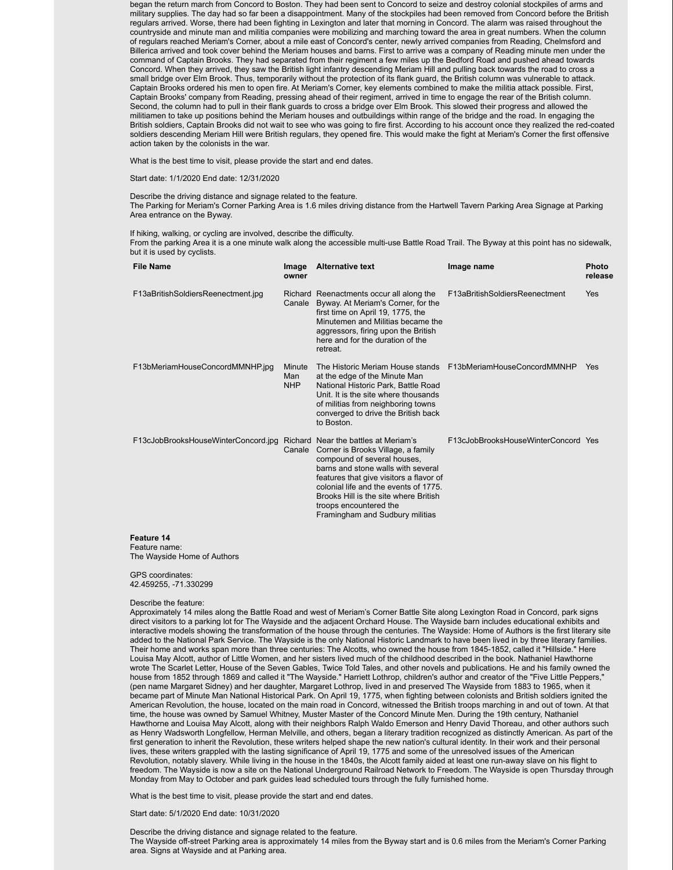began the return march from Concord to Boston. They had been sent to Concord to seize and destroy colonial stockpiles of arms and military supplies. The day had so far been a disappointment. Many of the stockpiles had been removed from Concord before the British regulars arrived. Worse, there had been fighting in Lexington and later that morning in Concord. The alarm was raised throughout the countryside and minute man and militia companies were mobilizing and marching toward the area in great numbers. When the column of regulars reached Meriam's Corner, about a mile east of Concord's center, newly arrived companies from Reading, Chelmsford and Billerica arrived and took cover behind the Meriam houses and barns. First to arrive was a company of Reading minute men under the command of Captain Brooks. They had separated from their regiment a few miles up the Bedford Road and pushed ahead towards Concord. When they arrived, they saw the British light infantry descending Meriam Hill and pulling back towards the road to cross a small bridge over Elm Brook. Thus, temporarily without the protection of its flank guard, the British column was vulnerable to attack. Captain Brooks ordered his men to open fire. At Meriam's Corner, key elements combined to make the militia attack possible. First, Captain Brooks' company from Reading, pressing ahead of their regiment, arrived in time to engage the rear of the British column. Second, the column had to pull in their flank guards to cross a bridge over Elm Brook. This slowed their progress and allowed the militiamen to take up positions behind the Meriam houses and outbuildings within range of the bridge and the road. In engaging the British soldiers, Captain Brooks did not wait to see who was going to fire first. According to his account once they realized the red-coated soldiers descending Meriam Hill were British regulars, they opened fire. This would make the fight at Meriam's Corner the first offensive action taken by the colonists in the war.

What is the best time to visit, please provide the start and end dates.

Start date: 1/1/2020 End date: 12/31/2020

## Describe the driving distance and signage related to the feature.

The Parking for Meriam's Corner Parking Area is 1.6 miles driving distance from the Hartwell Tavern Parking Area Signage at Parking Area entrance on the Byway.

If hiking, walking, or cycling are involved, describe the difficulty.

From the parking Area it is a one minute walk along the accessible multi-use Battle Road Trail. The Byway at this point has no sidewalk, but it is used by cyclists.

| <b>File Name</b>                    | Image<br>owner              | <b>Alternative text</b>                                                                                                                                                                                                                                                                                                                   | Image name                                                   | <b>Photo</b><br>release |
|-------------------------------------|-----------------------------|-------------------------------------------------------------------------------------------------------------------------------------------------------------------------------------------------------------------------------------------------------------------------------------------------------------------------------------------|--------------------------------------------------------------|-------------------------|
| F13aBritishSoldiersReenectment.jpg  | Canale                      | Richard Reenactments occur all along the<br>Byway. At Meriam's Corner, for the<br>first time on April 19, 1775, the<br>Minutemen and Militias became the<br>aggressors, firing upon the British<br>here and for the duration of the<br>retreat.                                                                                           | F13aBritishSoldiersReenectment                               | Yes                     |
| F13bMeriamHouseConcordMMNHP.jpg     | Minute<br>Man<br><b>NHP</b> | at the edge of the Minute Man<br>National Historic Park, Battle Road<br>Unit. It is the site where thousands<br>of militias from neighboring towns<br>converged to drive the British back<br>to Boston.                                                                                                                                   | The Historic Meriam House stands F13bMeriamHouseConcordMMNHP | Yes                     |
| F13cJobBrooksHouseWinterConcord.jpg | Canale                      | Richard Near the battles at Meriam's<br>Corner is Brooks Village, a family<br>compound of several houses,<br>barns and stone walls with several<br>features that give visitors a flavor of<br>colonial life and the events of 1775.<br>Brooks Hill is the site where British<br>troops encountered the<br>Framingham and Sudbury militias | F13cJobBrooksHouseWinterConcord Yes                          |                         |
| Feature 14                          |                             |                                                                                                                                                                                                                                                                                                                                           |                                                              |                         |

Feature name: The Wayside Home of Authors

GPS coordinates: 42.459255, -71.330299

#### Describe the feature:

Approximately 14 miles along the Battle Road and west of Meriam's Corner Battle Site along Lexington Road in Concord, park signs direct visitors to a parking lot for The Wayside and the adjacent Orchard House. The Wayside barn includes educational exhibits and interactive models showing the transformation of the house through the centuries. The Wayside: Home of Authors is the first literary site added to the National Park Service. The Wayside is the only National Historic Landmark to have been lived in by three literary families. Their home and works span more than three centuries: The Alcotts, who owned the house from 1845-1852, called it "Hillside." Here Louisa May Alcott, author of Little Women, and her sisters lived much of the childhood described in the book. Nathaniel Hawthorne wrote The Scarlet Letter, House of the Seven Gables, Twice Told Tales, and other novels and publications. He and his family owned the house from 1852 through 1869 and called it "The Wayside." Harriett Lothrop, children's author and creator of the "Five Little Peppers," (pen name Margaret Sidney) and her daughter, Margaret Lothrop, lived in and preserved The Wayside from 1883 to 1965, when it became part of Minute Man National Historical Park. On April 19, 1775, when fighting between colonists and British soldiers ignited the American Revolution, the house, located on the main road in Concord, witnessed the British troops marching in and out of town. At that time, the house was owned by Samuel Whitney, Muster Master of the Concord Minute Men. During the 19th century, Nathaniel Hawthorne and Louisa May Alcott, along with their neighbors Ralph Waldo Emerson and Henry David Thoreau, and other authors such as Henry Wadsworth Longfellow, Herman Melville, and others, began a literary tradition recognized as distinctly American. As part of the first generation to inherit the Revolution, these writers helped shape the new nation's cultural identity. In their work and their personal lives, these writers grappled with the lasting significance of April 19, 1775 and some of the unresolved issues of the American Revolution, notably slavery. While living in the house in the 1840s, the Alcott family aided at least one run-away slave on his flight to freedom. The Wayside is now a site on the National Underground Railroad Network to Freedom. The Wayside is open Thursday through Monday from May to October and park guides lead scheduled tours through the fully furnished home.

What is the best time to visit, please provide the start and end dates.

Start date: 5/1/2020 End date: 10/31/2020

Describe the driving distance and signage related to the feature.

The Wayside off-street Parking area is approximately 14 miles from the Byway start and is 0.6 miles from the Meriam's Corner Parking area. Signs at Wayside and at Parking area.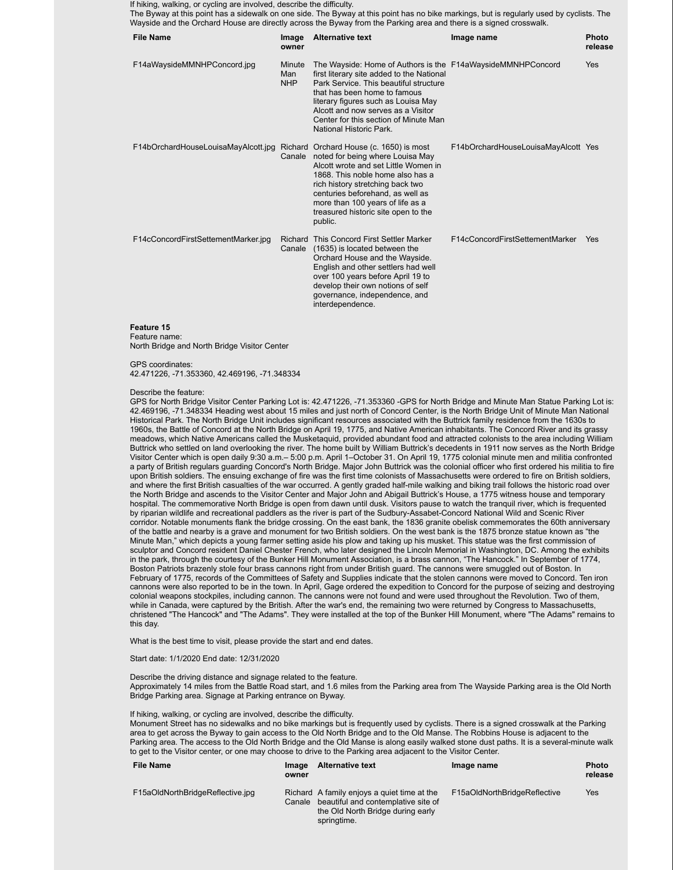If hiking, walking, or cycling are involved, describe the difficulty.

The Byway at this point has a sidewalk on one side. The Byway at this point has no bike markings, but is regularly used by cyclists. The Wayside and the Orchard House are directly across the Byway from the Parking area and there is a signed crosswalk.

| <b>File Name</b>                    | Image<br>owner              | <b>Alternative text</b>                                                                                                                                                                                                                                                                                                             | Image name                          | <b>Photo</b><br>release |
|-------------------------------------|-----------------------------|-------------------------------------------------------------------------------------------------------------------------------------------------------------------------------------------------------------------------------------------------------------------------------------------------------------------------------------|-------------------------------------|-------------------------|
| F14aWaysideMMNHPConcord.jpg         | Minute<br>Man<br><b>NHP</b> | The Wayside: Home of Authors is the F14aWaysideMMNHPConcord<br>first literary site added to the National<br>Park Service. This beautiful structure<br>that has been home to famous<br>literary figures such as Louisa May<br>Alcott and now serves as a Visitor<br>Center for this section of Minute Man<br>National Historic Park. |                                     | Yes                     |
| F14bOrchardHouseLouisaMayAlcott.jpg |                             | Richard Orchard House (c. 1650) is most<br>Canale noted for being where Louisa May<br>Alcott wrote and set Little Women in<br>1868. This noble home also has a<br>rich history stretching back two<br>centuries beforehand, as well as<br>more than 100 years of life as a<br>treasured historic site open to the<br>public.        | F14bOrchardHouseLouisaMayAlcott Yes |                         |
| F14cConcordFirstSettementMarker.jpg |                             | Richard This Concord First Settler Marker<br>Canale (1635) is located between the<br>Orchard House and the Wayside.<br>English and other settlers had well<br>over 100 years before April 19 to<br>develop their own notions of self<br>governance, independence, and<br>interdependence.                                           | F14cConcordFirstSettementMarker     | Yes                     |

#### **Feature 15** Feature name:

North Bridge and North Bridge Visitor Center

GPS coordinates:

42.471226, -71.353360, 42.469196, -71.348334

#### Describe the feature:

GPS for North Bridge Visitor Center Parking Lot is: 42.471226, -71.353360 -GPS for North Bridge and Minute Man Statue Parking Lot is: 42.469196, -71.348334 Heading west about 15 miles and just north of Concord Center, is the North Bridge Unit of Minute Man National Historical Park. The North Bridge Unit includes significant resources associated with the Buttrick family residence from the 1630s to 1960s, the Battle of Concord at the North Bridge on April 19, 1775, and Native American inhabitants. The Concord River and its grassy meadows, which Native Americans called the Musketaquid, provided abundant food and attracted colonists to the area including William Buttrick who settled on land overlooking the river. The home built by William Buttrick's decedents in 1911 now serves as the North Bridge Visitor Center which is open daily 9:30 a.m.– 5:00 p.m. April 1–October 31. On April 19, 1775 colonial minute men and militia confronted a party of British regulars guarding Concord's North Bridge. Major John Buttrick was the colonial officer who first ordered his militia to fire upon British soldiers. The ensuing exchange of fire was the first time colonists of Massachusetts were ordered to fire on British soldiers, and where the first British casualties of the war occurred. A gently graded half-mile walking and biking trail follows the historic road over the North Bridge and ascends to the Visitor Center and Major John and Abigail Buttrick's House, a 1775 witness house and temporary hospital. The commemorative North Bridge is open from dawn until dusk. Visitors pause to watch the tranquil river, which is frequented by riparian wildlife and recreational paddlers as the river is part of the Sudbury-Assabet-Concord National Wild and Scenic River corridor. Notable monuments flank the bridge crossing. On the east bank, the 1836 granite obelisk commemorates the 60th anniversary of the battle and nearby is a grave and monument for two British soldiers. On the west bank is the 1875 bronze statue known as "the Minute Man," which depicts a young farmer setting aside his plow and taking up his musket. This statue was the first commission of sculptor and Concord resident Daniel Chester French, who later designed the Lincoln Memorial in Washington, DC. Among the exhibits in the park, through the courtesy of the Bunker Hill Monument Association, is a brass cannon, "The Hancock." In September of 1774, Boston Patriots brazenly stole four brass cannons right from under British guard. The cannons were smuggled out of Boston. In February of 1775, records of the Committees of Safety and Supplies indicate that the stolen cannons were moved to Concord. Ten iron cannons were also reported to be in the town. In April, Gage ordered the expedition to Concord for the purpose of seizing and destroying colonial weapons stockpiles, including cannon. The cannons were not found and were used throughout the Revolution. Two of them, while in Canada, were captured by the British. After the war's end, the remaining two were returned by Congress to Massachusetts, christened "The Hancock" and "The Adams". They were installed at the top of the Bunker Hill Monument, where "The Adams" remains to this day.

What is the best time to visit, please provide the start and end dates.

#### Start date: 1/1/2020 End date: 12/31/2020

Describe the driving distance and signage related to the feature. Approximately 14 miles from the Battle Road start, and 1.6 miles from the Parking area from The Wayside Parking area is the Old North Bridge Parking area. Signage at Parking entrance on Byway.

# If hiking, walking, or cycling are involved, describe the difficulty.

Monument Street has no sidewalks and no bike markings but is frequently used by cyclists. There is a signed crosswalk at the Parking area to get across the Byway to gain access to the Old North Bridge and to the Old Manse. The Robbins House is adjacent to the Parking area. The access to the Old North Bridge and the Old Manse is along easily walked stone dust paths. It is a several-minute walk to get to the Visitor center, or one may choose to drive to the Parking area adjacent to the Visitor Center.

| <b>File Name</b>                 | <b>Image</b><br>owner | <b>Alternative text</b>                                                                                                                | Image name                   | <b>Photo</b><br>release |
|----------------------------------|-----------------------|----------------------------------------------------------------------------------------------------------------------------------------|------------------------------|-------------------------|
| F15aOldNorthBridgeReflective.jpg | Canale                | Richard A family enjoys a quiet time at the<br>beautiful and contemplative site of<br>the Old North Bridge during early<br>springtime. | F15aOldNorthBridgeReflective | Yes                     |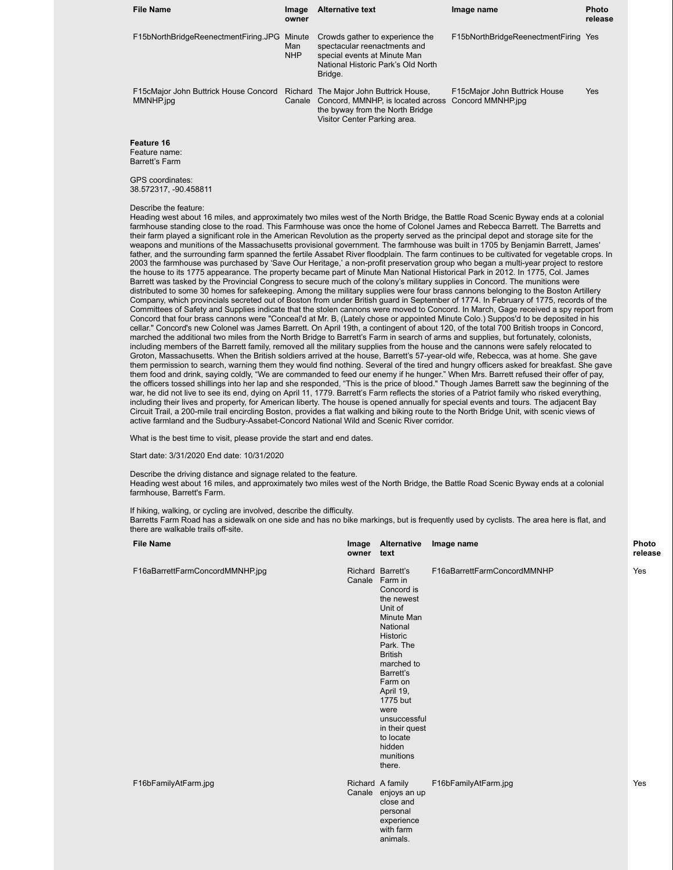| <b>File Name</b>                                   | Image<br>owner              | <b>Alternative text</b>                                                                                                                                          | Image name                           | <b>Photo</b><br>release |
|----------------------------------------------------|-----------------------------|------------------------------------------------------------------------------------------------------------------------------------------------------------------|--------------------------------------|-------------------------|
| F15bNorthBridgeReenectmentFiring.JPG               | Minute<br>Man<br><b>NHP</b> | Crowds gather to experience the<br>spectacular reenactments and<br>special events at Minute Man<br>National Historic Park's Old North<br>Bridge.                 | F15bNorthBridgeReenectmentFiring Yes |                         |
| F15cMajor John Buttrick House Concord<br>MMNHP.jpg | Canale                      | Richard The Major John Buttrick House,<br>Concord, MMNHP, is located across Concord MMNHP.jpg<br>the byway from the North Bridge<br>Visitor Center Parking area. | F15cMajor John Buttrick House        | Yes                     |
| Feature 16                                         |                             |                                                                                                                                                                  |                                      |                         |

Feature name:

Barrett's Farm

GPS coordinates: 38.572317, -90.458811

#### Describe the feature:

Heading west about 16 miles, and approximately two miles west of the North Bridge, the Battle Road Scenic Byway ends at a colonial farmhouse standing close to the road. This Farmhouse was once the home of Colonel James and Rebecca Barrett. The Barretts and their farm played a significant role in the American Revolution as the property served as the principal depot and storage site for the weapons and munitions of the Massachusetts provisional government. The farmhouse was built in 1705 by Benjamin Barrett, James' father, and the surrounding farm spanned the fertile Assabet River floodplain. The farm continues to be cultivated for vegetable crops. In 2003 the farmhouse was purchased by 'Save Our Heritage,' a non-profit preservation group who began a multi-year project to restore the house to its 1775 appearance. The property became part of Minute Man National Historical Park in 2012. In 1775, Col. James Barrett was tasked by the Provincial Congress to secure much of the colony's military supplies in Concord. The munitions were distributed to some 30 homes for safekeeping. Among the military supplies were four brass cannons belonging to the Boston Artillery Company, which provincials secreted out of Boston from under British guard in September of 1774. In February of 1775, records of the Committees of Safety and Supplies indicate that the stolen cannons were moved to Concord. In March, Gage received a spy report from Concord that four brass cannons were "Conceal'd at Mr. B, (Lately chose or appointed Minute Colo.) Suppos'd to be deposited in his cellar." Concord's new Colonel was James Barrett. On April 19th, a contingent of about 120, of the total 700 British troops in Concord, marched the additional two miles from the North Bridge to Barrett's Farm in search of arms and supplies, but fortunately, colonists, including members of the Barrett family, removed all the military supplies from the house and the cannons were safely relocated to Groton, Massachusetts. When the British soldiers arrived at the house, Barrett's 57-year-old wife, Rebecca, was at home. She gave them permission to search, warning them they would find nothing. Several of the tired and hungry officers asked for breakfast. She gave them food and drink, saying coldly, "We are commanded to feed our enemy if he hunger." When Mrs. Barrett refused their offer of pay, the officers tossed shillings into her lap and she responded, "This is the price of blood." Though James Barrett saw the beginning of the war, he did not live to see its end, dying on April 11, 1779. Barrett's Farm reflects the stories of a Patriot family who risked everything, including their lives and property, for American liberty. The house is opened annually for special events and tours. The adjacent Bay Circuit Trail, a 200-mile trail encircling Boston, provides a flat walking and biking route to the North Bridge Unit, with scenic views of active farmland and the Sudbury-Assabet-Concord National Wild and Scenic River corridor.

What is the best time to visit, please provide the start and end dates.

Start date: 3/31/2020 End date: 10/31/2020

Describe the driving distance and signage related to the feature. Heading west about 16 miles, and approximately two miles west of the North Bridge, the Battle Road Scenic Byway ends at a colonial farmhouse, Barrett's Farm.

If hiking, walking, or cycling are involved, describe the difficulty.

Barretts Farm Road has a sidewalk on one side and has no bike markings, but is frequently used by cyclists. The area here is flat, and there are walkable trails off-site.

| <b>File Name</b>                | owner text | Image Alternative                                                                                                                                                                                                                                                                                      | Image name                  | Photo<br>release |
|---------------------------------|------------|--------------------------------------------------------------------------------------------------------------------------------------------------------------------------------------------------------------------------------------------------------------------------------------------------------|-----------------------------|------------------|
| F16aBarrettFarmConcordMMNHP.jpg |            | Richard Barrett's<br>Canale Farm in<br>Concord is<br>the newest<br>Unit of<br>Minute Man<br>National<br>Historic<br>Park. The<br><b>British</b><br>marched to<br>Barrett's<br>Farm on<br>April 19,<br>1775 but<br>were<br>unsuccessful<br>in their quest<br>to locate<br>hidden<br>munitions<br>there. | F16aBarrettFarmConcordMMNHP | Yes              |
| F16bFamilyAtFarm.jpg            |            | Richard A family<br>Canale enjoys an up<br>close and<br>personal<br>experience<br>with farm<br>animals.                                                                                                                                                                                                | F16bFamilyAtFarm.jpg        | Yes              |

# **release**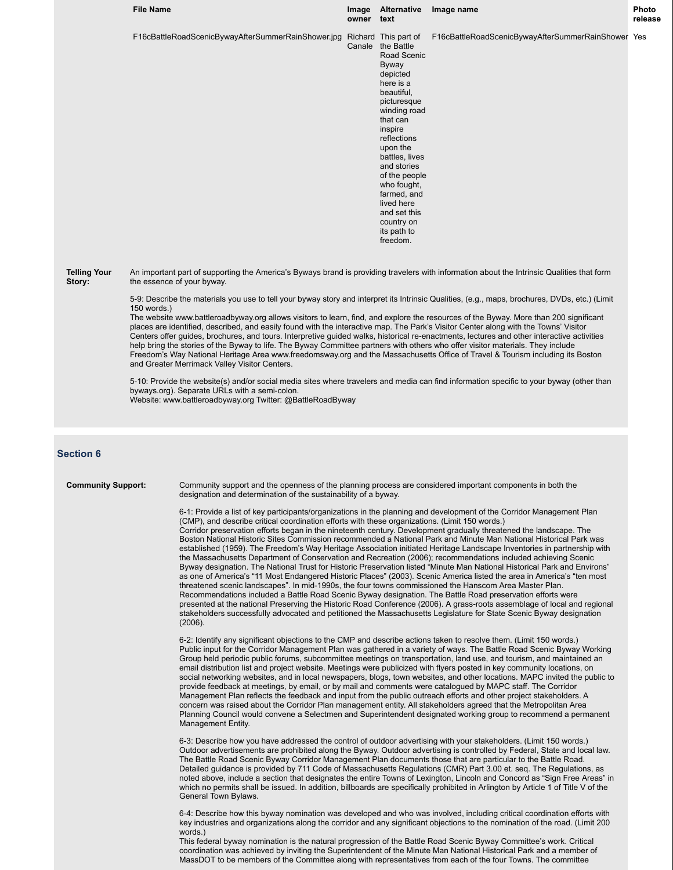|                               | <b>File Name</b> |                                                                                                                                                                                                                                                                                                                                                                                                                                                                                                                                                                                                                                                                                                                                                                                                                                                                                                                                                                                                                                                                                                                                                                                                                                                                                                                                                                                                                                                                                                                                                                                                                                              | owner text | Image Alternative                                                                                                                                                                                                                                                                                                                                | Image name                                         | <b>Photo</b><br>release |  |
|-------------------------------|------------------|----------------------------------------------------------------------------------------------------------------------------------------------------------------------------------------------------------------------------------------------------------------------------------------------------------------------------------------------------------------------------------------------------------------------------------------------------------------------------------------------------------------------------------------------------------------------------------------------------------------------------------------------------------------------------------------------------------------------------------------------------------------------------------------------------------------------------------------------------------------------------------------------------------------------------------------------------------------------------------------------------------------------------------------------------------------------------------------------------------------------------------------------------------------------------------------------------------------------------------------------------------------------------------------------------------------------------------------------------------------------------------------------------------------------------------------------------------------------------------------------------------------------------------------------------------------------------------------------------------------------------------------------|------------|--------------------------------------------------------------------------------------------------------------------------------------------------------------------------------------------------------------------------------------------------------------------------------------------------------------------------------------------------|----------------------------------------------------|-------------------------|--|
|                               |                  | F16cBattleRoadScenicBywayAfterSummerRainShower.jpg                                                                                                                                                                                                                                                                                                                                                                                                                                                                                                                                                                                                                                                                                                                                                                                                                                                                                                                                                                                                                                                                                                                                                                                                                                                                                                                                                                                                                                                                                                                                                                                           |            | Richard This part of<br>Canale the Battle<br>Road Scenic<br>Byway<br>depicted<br>here is a<br>beautiful,<br>picturesque<br>winding road<br>that can<br>inspire<br>reflections<br>upon the<br>battles, lives<br>and stories<br>of the people<br>who fought,<br>farmed, and<br>lived here<br>and set this<br>country on<br>its path to<br>freedom. | F16cBattleRoadScenicBywayAfterSummerRainShower Yes |                         |  |
| <b>Telling Your</b><br>Story: | 150 words.)      | An important part of supporting the America's Byways brand is providing travelers with information about the Intrinsic Qualities that form<br>the essence of your byway.<br>5-9: Describe the materials you use to tell your byway story and interpret its Intrinsic Qualities, (e.g., maps, brochures, DVDs, etc.) (Limit<br>The website www.battleroadbyway.org allows visitors to learn, find, and explore the resources of the Byway. More than 200 significant<br>places are identified, described, and easily found with the interactive map. The Park's Visitor Center along with the Towns' Visitor<br>Centers offer guides, brochures, and tours. Interpretive guided walks, historical re-enactments, lectures and other interactive activities<br>help bring the stories of the Byway to life. The Byway Committee partners with others who offer visitor materials. They include<br>Freedom's Way National Heritage Area www.freedomsway.org and the Massachusetts Office of Travel & Tourism including its Boston<br>and Greater Merrimack Valley Visitor Centers.<br>5-10: Provide the website(s) and/or social media sites where travelers and media can find information specific to your byway (other than<br>byways.org). Separate URLs with a semi-colon.<br>Website: www.battleroadbyway.org Twitter: @BattleRoadByway                                                                                                                                                                                                                                                                                                   |            |                                                                                                                                                                                                                                                                                                                                                  |                                                    |                         |  |
| <b>Section 6</b>              |                  |                                                                                                                                                                                                                                                                                                                                                                                                                                                                                                                                                                                                                                                                                                                                                                                                                                                                                                                                                                                                                                                                                                                                                                                                                                                                                                                                                                                                                                                                                                                                                                                                                                              |            |                                                                                                                                                                                                                                                                                                                                                  |                                                    |                         |  |
| <b>Community Support:</b>     |                  | Community support and the openness of the planning process are considered important components in both the<br>designation and determination of the sustainability of a byway.<br>6-1: Provide a list of key participants/organizations in the planning and development of the Corridor Management Plan<br>(CMP), and describe critical coordination efforts with these organizations. (Limit 150 words.)<br>Corridor preservation efforts began in the nineteenth century. Development gradually threatened the landscape. The<br>Boston National Historic Sites Commission recommended a National Park and Minute Man National Historical Park was<br>established (1959). The Freedom's Way Heritage Association initiated Heritage Landscape Inventories in partnership with<br>the Massachusetts Department of Conservation and Recreation (2006); recommendations included achieving Scenic<br>Byway designation. The National Trust for Historic Preservation listed "Minute Man National Historical Park and Environs"<br>as one of America's "11 Most Endangered Historic Places" (2003). Scenic America listed the area in America's "ten most<br>threatened scenic landscapes". In mid-1990s, the four towns commissioned the Hanscom Area Master Plan.<br>Recommendations included a Battle Road Scenic Byway designation. The Battle Road preservation efforts were<br>presented at the national Preserving the Historic Road Conference (2006). A grass-roots assemblage of local and regional<br>stakeholders successfully advocated and petitioned the Massachusetts Legislature for State Scenic Byway designation<br>(2006). |            |                                                                                                                                                                                                                                                                                                                                                  |                                                    |                         |  |
|                               |                  |                                                                                                                                                                                                                                                                                                                                                                                                                                                                                                                                                                                                                                                                                                                                                                                                                                                                                                                                                                                                                                                                                                                                                                                                                                                                                                                                                                                                                                                                                                                                                                                                                                              |            |                                                                                                                                                                                                                                                                                                                                                  |                                                    |                         |  |

6-2: Identify any significant objections to the CMP and describe actions taken to resolve them. (Limit 150 words.) Public input for the Corridor Management Plan was gathered in a variety of ways. The Battle Road Scenic Byway Working Group held periodic public forums, subcommittee meetings on transportation, land use, and tourism, and maintained an email distribution list and project website. Meetings were publicized with flyers posted in key community locations, on social networking websites, and in local newspapers, blogs, town websites, and other locations. MAPC invited the public to provide feedback at meetings, by email, or by mail and comments were catalogued by MAPC staff. The Corridor Management Plan reflects the feedback and input from the public outreach efforts and other project stakeholders. A concern was raised about the Corridor Plan management entity. All stakeholders agreed that the Metropolitan Area Planning Council would convene a Selectmen and Superintendent designated working group to recommend a permanent Management Entity.

6-3: Describe how you have addressed the control of outdoor advertising with your stakeholders. (Limit 150 words.) Outdoor advertisements are prohibited along the Byway. Outdoor advertising is controlled by Federal, State and local law. The Battle Road Scenic Byway Corridor Management Plan documents those that are particular to the Battle Road. Detailed guidance is provided by 711 Code of Massachusetts Regulations (CMR) Part 3.00 et. seq. The Regulations, as noted above, include a section that designates the entire Towns of Lexington, Lincoln and Concord as "Sign Free Areas" in which no permits shall be issued. In addition, billboards are specifically prohibited in Arlington by Article 1 of Title V of the General Town Bylaws.

6-4: Describe how this byway nomination was developed and who was involved, including critical coordination efforts with key industries and organizations along the corridor and any significant objections to the nomination of the road. (Limit 200 words.)

This federal byway nomination is the natural progression of the Battle Road Scenic Byway Committee's work. Critical coordination was achieved by inviting the Superintendent of the Minute Man National Historical Park and a member of MassDOT to be members of the Committee along with representatives from each of the four Towns. The committee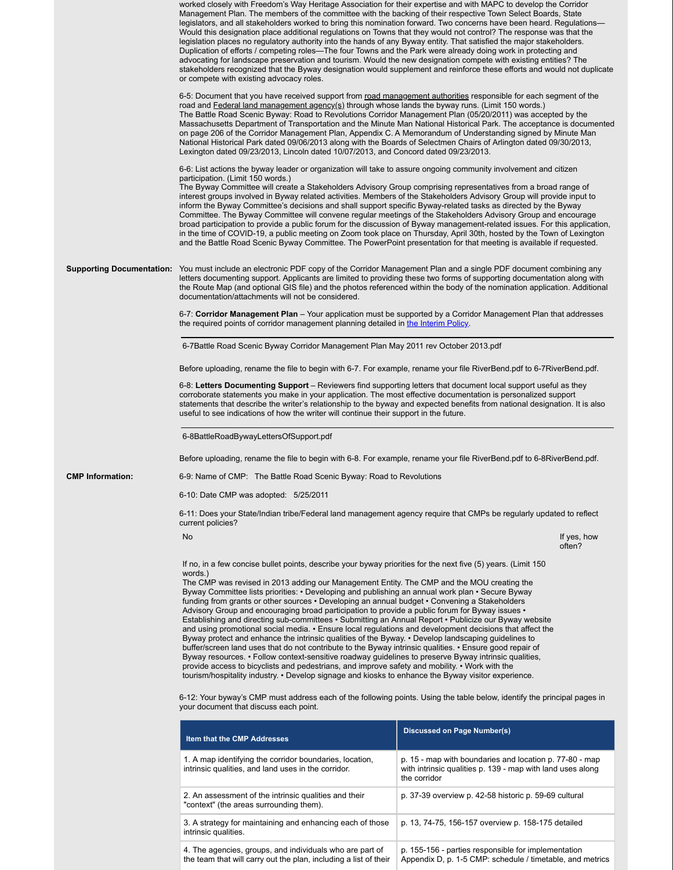|                                                                                                                                                                    | worked closely with Freedom's Way Heritage Association for their expertise and with MAPC to develop the Corridor<br>Management Plan. The members of the committee with the backing of their respective Town Select Boards, State<br>legislators, and all stakeholders worked to bring this nomination forward. Two concerns have been heard. Regulations—<br>Would this designation place additional regulations on Towns that they would not control? The response was that the<br>legislation places no regulatory authority into the hands of any Byway entity. That satisfied the major stakeholders.<br>Duplication of efforts / competing roles—The four Towns and the Park were already doing work in protecting and<br>advocating for landscape preservation and tourism. Would the new designation compete with existing entities? The<br>stakeholders recognized that the Byway designation would supplement and reinforce these efforts and would not duplicate<br>or compete with existing advocacy roles.                                                                                                                                                                                                                                                                   |                       |  |  |  |  |
|--------------------------------------------------------------------------------------------------------------------------------------------------------------------|------------------------------------------------------------------------------------------------------------------------------------------------------------------------------------------------------------------------------------------------------------------------------------------------------------------------------------------------------------------------------------------------------------------------------------------------------------------------------------------------------------------------------------------------------------------------------------------------------------------------------------------------------------------------------------------------------------------------------------------------------------------------------------------------------------------------------------------------------------------------------------------------------------------------------------------------------------------------------------------------------------------------------------------------------------------------------------------------------------------------------------------------------------------------------------------------------------------------------------------------------------------------------------------|-----------------------|--|--|--|--|
|                                                                                                                                                                    | 6-5: Document that you have received support from road management authorities responsible for each segment of the<br>road and Federal land management agency(s) through whose lands the byway runs. (Limit 150 words.)<br>The Battle Road Scenic Byway: Road to Revolutions Corridor Management Plan (05/20/2011) was accepted by the<br>Massachusetts Department of Transportation and the Minute Man National Historical Park. The acceptance is documented<br>on page 206 of the Corridor Management Plan, Appendix C. A Memorandum of Understanding signed by Minute Man<br>National Historical Park dated 09/06/2013 along with the Boards of Selectmen Chairs of Arlington dated 09/30/2013,<br>Lexington dated 09/23/2013, Lincoln dated 10/07/2013, and Concord dated 09/23/2013.                                                                                                                                                                                                                                                                                                                                                                                                                                                                                                |                       |  |  |  |  |
|                                                                                                                                                                    | 6-6: List actions the byway leader or organization will take to assure ongoing community involvement and citizen<br>participation. (Limit 150 words.)<br>The Byway Committee will create a Stakeholders Advisory Group comprising representatives from a broad range of<br>interest groups involved in Byway related activities. Members of the Stakeholders Advisory Group will provide input to<br>inform the Byway Committee's decisions and shall support specific Byway-related tasks as directed by the Byway<br>Committee. The Byway Committee will convene regular meetings of the Stakeholders Advisory Group and encourage<br>broad participation to provide a public forum for the discussion of Byway management-related issues. For this application,<br>in the time of COVID-19, a public meeting on Zoom took place on Thursday, April 30th, hosted by the Town of Lexington<br>and the Battle Road Scenic Byway Committee. The PowerPoint presentation for that meeting is available if requested.                                                                                                                                                                                                                                                                       |                       |  |  |  |  |
|                                                                                                                                                                    | <b>Supporting Documentation:</b> You must include an electronic PDF copy of the Corridor Management Plan and a single PDF document combining any<br>letters documenting support. Applicants are limited to providing these two forms of supporting documentation along with<br>the Route Map (and optional GIS file) and the photos referenced within the body of the nomination application. Additional                                                                                                                                                                                                                                                                                                                                                                                                                                                                                                                                                                                                                                                                                                                                                                                                                                                                                 |                       |  |  |  |  |
|                                                                                                                                                                    | 6-7: Corridor Management Plan – Your application must be supported by a Corridor Management Plan that addresses<br>the required points of corridor management planning detailed in the Interim Policy.                                                                                                                                                                                                                                                                                                                                                                                                                                                                                                                                                                                                                                                                                                                                                                                                                                                                                                                                                                                                                                                                                   |                       |  |  |  |  |
|                                                                                                                                                                    | 6-7Battle Road Scenic Byway Corridor Management Plan May 2011 rev October 2013.pdf                                                                                                                                                                                                                                                                                                                                                                                                                                                                                                                                                                                                                                                                                                                                                                                                                                                                                                                                                                                                                                                                                                                                                                                                       |                       |  |  |  |  |
|                                                                                                                                                                    | Before uploading, rename the file to begin with 6-7. For example, rename your file RiverBend.pdf to 6-7RiverBend.pdf.                                                                                                                                                                                                                                                                                                                                                                                                                                                                                                                                                                                                                                                                                                                                                                                                                                                                                                                                                                                                                                                                                                                                                                    |                       |  |  |  |  |
|                                                                                                                                                                    | 6-8: Letters Documenting Support – Reviewers find supporting letters that document local support useful as they<br>corroborate statements you make in your application. The most effective documentation is personalized support<br>statements that describe the writer's relationship to the byway and expected benefits from national designation. It is also<br>useful to see indications of how the writer will continue their support in the future.                                                                                                                                                                                                                                                                                                                                                                                                                                                                                                                                                                                                                                                                                                                                                                                                                                |                       |  |  |  |  |
|                                                                                                                                                                    |                                                                                                                                                                                                                                                                                                                                                                                                                                                                                                                                                                                                                                                                                                                                                                                                                                                                                                                                                                                                                                                                                                                                                                                                                                                                                          |                       |  |  |  |  |
| Before uploading, rename the file to begin with 6-8. For example, rename your file RiverBend.pdf to 6-8RiverBend.pdf.                                              |                                                                                                                                                                                                                                                                                                                                                                                                                                                                                                                                                                                                                                                                                                                                                                                                                                                                                                                                                                                                                                                                                                                                                                                                                                                                                          |                       |  |  |  |  |
| <b>CMP Information:</b>                                                                                                                                            | 6-9: Name of CMP: The Battle Road Scenic Byway: Road to Revolutions                                                                                                                                                                                                                                                                                                                                                                                                                                                                                                                                                                                                                                                                                                                                                                                                                                                                                                                                                                                                                                                                                                                                                                                                                      |                       |  |  |  |  |
|                                                                                                                                                                    |                                                                                                                                                                                                                                                                                                                                                                                                                                                                                                                                                                                                                                                                                                                                                                                                                                                                                                                                                                                                                                                                                                                                                                                                                                                                                          |                       |  |  |  |  |
|                                                                                                                                                                    | 6-11: Does your State/Indian tribe/Federal land management agency require that CMPs be regularly updated to reflect                                                                                                                                                                                                                                                                                                                                                                                                                                                                                                                                                                                                                                                                                                                                                                                                                                                                                                                                                                                                                                                                                                                                                                      |                       |  |  |  |  |
|                                                                                                                                                                    | No                                                                                                                                                                                                                                                                                                                                                                                                                                                                                                                                                                                                                                                                                                                                                                                                                                                                                                                                                                                                                                                                                                                                                                                                                                                                                       | If yes, how<br>often? |  |  |  |  |
|                                                                                                                                                                    | If no, in a few concise bullet points, describe your byway priorities for the next five (5) years. (Limit 150<br>words.)<br>The CMP was revised in 2013 adding our Management Entity. The CMP and the MOU creating the<br>Byway Committee lists priorities: • Developing and publishing an annual work plan • Secure Byway<br>funding from grants or other sources • Developing an annual budget • Convening a Stakeholders<br>Advisory Group and encouraging broad participation to provide a public forum for Byway issues •<br>Establishing and directing sub-committees • Submitting an Annual Report • Publicize our Byway website<br>and using promotional social media. • Ensure local regulations and development decisions that affect the<br>Byway protect and enhance the intrinsic qualities of the Byway. • Develop landscaping guidelines to<br>buffer/screen land uses that do not contribute to the Byway intrinsic qualities. • Ensure good repair of<br>Byway resources. • Follow context-sensitive roadway guidelines to preserve Byway intrinsic qualities,<br>provide access to bicyclists and pedestrians, and improve safety and mobility. • Work with the<br>tourism/hospitality industry. • Develop signage and kiosks to enhance the Byway visitor experience. |                       |  |  |  |  |
| 6-12: Your byway's CMP must address each of the following points. Using the table below, identify the principal pages in<br>your document that discuss each point. |                                                                                                                                                                                                                                                                                                                                                                                                                                                                                                                                                                                                                                                                                                                                                                                                                                                                                                                                                                                                                                                                                                                                                                                                                                                                                          |                       |  |  |  |  |
|                                                                                                                                                                    | <b>Discussed on Page Number(s)</b>                                                                                                                                                                                                                                                                                                                                                                                                                                                                                                                                                                                                                                                                                                                                                                                                                                                                                                                                                                                                                                                                                                                                                                                                                                                       |                       |  |  |  |  |
|                                                                                                                                                                    | p. 15 - map with boundaries and location p. 77-80 - map<br>with intrinsic qualities p. 139 - map with land uses along<br>the corridor                                                                                                                                                                                                                                                                                                                                                                                                                                                                                                                                                                                                                                                                                                                                                                                                                                                                                                                                                                                                                                                                                                                                                    |                       |  |  |  |  |
|                                                                                                                                                                    | p. 37-39 overview p. 42-58 historic p. 59-69 cultural                                                                                                                                                                                                                                                                                                                                                                                                                                                                                                                                                                                                                                                                                                                                                                                                                                                                                                                                                                                                                                                                                                                                                                                                                                    |                       |  |  |  |  |
|                                                                                                                                                                    | 3. A strategy for maintaining and enhancing each of those<br>p. 13, 74-75, 156-157 overview p. 158-175 detailed<br>intrinsic qualities.                                                                                                                                                                                                                                                                                                                                                                                                                                                                                                                                                                                                                                                                                                                                                                                                                                                                                                                                                                                                                                                                                                                                                  |                       |  |  |  |  |

4. The agencies, groups, and individuals who are part of the team that will carry out the plan, including a list of their p. 155-156 - parties responsible for implementation Appendix D, p. 1-5 CMP: schedule / timetable, and metrics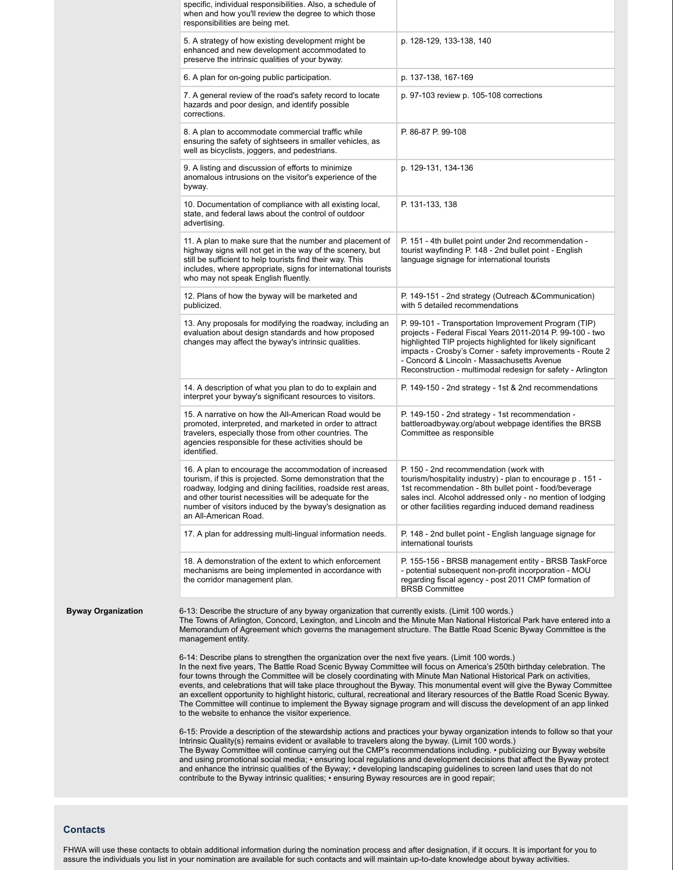|                           | specific, individual responsibilities. Also, a schedule of<br>when and how you'll review the degree to which those<br>responsibilities are being met.                                                                                                                                                                                                                                                                                                                                                                                                                                                                                                                                                                                                                                         |                                                                                                                                                                                                                                                                                                                                                            |  |  |
|---------------------------|-----------------------------------------------------------------------------------------------------------------------------------------------------------------------------------------------------------------------------------------------------------------------------------------------------------------------------------------------------------------------------------------------------------------------------------------------------------------------------------------------------------------------------------------------------------------------------------------------------------------------------------------------------------------------------------------------------------------------------------------------------------------------------------------------|------------------------------------------------------------------------------------------------------------------------------------------------------------------------------------------------------------------------------------------------------------------------------------------------------------------------------------------------------------|--|--|
|                           | 5. A strategy of how existing development might be<br>enhanced and new development accommodated to<br>preserve the intrinsic qualities of your byway.                                                                                                                                                                                                                                                                                                                                                                                                                                                                                                                                                                                                                                         | p. 128-129, 133-138, 140                                                                                                                                                                                                                                                                                                                                   |  |  |
|                           | 6. A plan for on-going public participation.                                                                                                                                                                                                                                                                                                                                                                                                                                                                                                                                                                                                                                                                                                                                                  | p. 137-138, 167-169                                                                                                                                                                                                                                                                                                                                        |  |  |
|                           | 7. A general review of the road's safety record to locate<br>hazards and poor design, and identify possible<br>corrections.                                                                                                                                                                                                                                                                                                                                                                                                                                                                                                                                                                                                                                                                   | p. 97-103 review p. 105-108 corrections                                                                                                                                                                                                                                                                                                                    |  |  |
|                           | 8. A plan to accommodate commercial traffic while<br>ensuring the safety of sightseers in smaller vehicles, as<br>well as bicyclists, joggers, and pedestrians.                                                                                                                                                                                                                                                                                                                                                                                                                                                                                                                                                                                                                               | P. 86-87 P. 99-108                                                                                                                                                                                                                                                                                                                                         |  |  |
|                           | 9. A listing and discussion of efforts to minimize<br>anomalous intrusions on the visitor's experience of the<br>byway.                                                                                                                                                                                                                                                                                                                                                                                                                                                                                                                                                                                                                                                                       | p. 129-131, 134-136                                                                                                                                                                                                                                                                                                                                        |  |  |
|                           | 10. Documentation of compliance with all existing local,<br>state, and federal laws about the control of outdoor<br>advertising.                                                                                                                                                                                                                                                                                                                                                                                                                                                                                                                                                                                                                                                              | P. 131-133, 138                                                                                                                                                                                                                                                                                                                                            |  |  |
|                           | 11. A plan to make sure that the number and placement of<br>highway signs will not get in the way of the scenery, but<br>still be sufficient to help tourists find their way. This<br>includes, where appropriate, signs for international tourists<br>who may not speak English fluently.                                                                                                                                                                                                                                                                                                                                                                                                                                                                                                    | P. 151 - 4th bullet point under 2nd recommendation -<br>tourist wayfinding P. 148 - 2nd bullet point - English<br>language signage for international tourists                                                                                                                                                                                              |  |  |
|                           | 12. Plans of how the byway will be marketed and<br>publicized.                                                                                                                                                                                                                                                                                                                                                                                                                                                                                                                                                                                                                                                                                                                                | P. 149-151 - 2nd strategy (Outreach & Communication)<br>with 5 detailed recommendations                                                                                                                                                                                                                                                                    |  |  |
|                           | 13. Any proposals for modifying the roadway, including an<br>evaluation about design standards and how proposed<br>changes may affect the byway's intrinsic qualities.                                                                                                                                                                                                                                                                                                                                                                                                                                                                                                                                                                                                                        | P. 99-101 - Transportation Improvement Program (TIP)<br>projects - Federal Fiscal Years 2011-2014 P. 99-100 - two<br>highlighted TIP projects highlighted for likely significant<br>impacts - Crosby's Corner - safety improvements - Route 2<br>- Concord & Lincoln - Massachusetts Avenue<br>Reconstruction - multimodal redesign for safety - Arlington |  |  |
|                           | 14. A description of what you plan to do to explain and<br>interpret your byway's significant resources to visitors.                                                                                                                                                                                                                                                                                                                                                                                                                                                                                                                                                                                                                                                                          | P. 149-150 - 2nd strategy - 1st & 2nd recommendations                                                                                                                                                                                                                                                                                                      |  |  |
|                           | 15. A narrative on how the All-American Road would be<br>promoted, interpreted, and marketed in order to attract<br>travelers, especially those from other countries. The<br>agencies responsible for these activities should be<br>identified.                                                                                                                                                                                                                                                                                                                                                                                                                                                                                                                                               | P. 149-150 - 2nd strategy - 1st recommendation -<br>battleroadbyway.org/about webpage identifies the BRSB<br>Committee as responsible                                                                                                                                                                                                                      |  |  |
|                           | 16. A plan to encourage the accommodation of increased<br>tourism, if this is projected. Some demonstration that the<br>roadway, lodging and dining facilities, roadside rest areas<br>and other tourist necessities will be adequate for the<br>number of visitors induced by the byway's designation as<br>an All-American Road.                                                                                                                                                                                                                                                                                                                                                                                                                                                            | P. 150 - 2nd recommendation (work with<br>tourism/hospitality industry) - plan to encourage p. 151 -<br>1st recommendation - 8th bullet point - food/beverage<br>sales incl. Alcohol addressed only - no mention of lodging<br>or other facilities regarding induced demand readiness                                                                      |  |  |
|                           | 17. A plan for addressing multi-lingual information needs.                                                                                                                                                                                                                                                                                                                                                                                                                                                                                                                                                                                                                                                                                                                                    | P. 148 - 2nd bullet point - English language signage for<br>international tourists                                                                                                                                                                                                                                                                         |  |  |
|                           | 18. A demonstration of the extent to which enforcement<br>mechanisms are being implemented in accordance with<br>the corridor management plan.                                                                                                                                                                                                                                                                                                                                                                                                                                                                                                                                                                                                                                                | P. 155-156 - BRSB management entity - BRSB TaskForce<br>- potential subsequent non-profit incorporation - MOU<br>regarding fiscal agency - post 2011 CMP formation of<br><b>BRSB Committee</b>                                                                                                                                                             |  |  |
| <b>Byway Organization</b> | 6-13: Describe the structure of any byway organization that currently exists. (Limit 100 words.)<br>The Towns of Arlington, Concord, Lexington, and Lincoln and the Minute Man National Historical Park have entered into a<br>Memorandum of Agreement which governs the management structure. The Battle Road Scenic Byway Committee is the<br>management entity.                                                                                                                                                                                                                                                                                                                                                                                                                            |                                                                                                                                                                                                                                                                                                                                                            |  |  |
|                           | 6-14: Describe plans to strengthen the organization over the next five years. (Limit 100 words.)<br>In the next five years, The Battle Road Scenic Byway Committee will focus on America's 250th birthday celebration. The<br>four towns through the Committee will be closely coordinating with Minute Man National Historical Park on activities,<br>events, and celebrations that will take place throughout the Byway. This monumental event will give the Byway Committee<br>an excellent opportunity to highlight historic, cultural, recreational and literary resources of the Battle Road Scenic Byway.<br>The Committee will continue to implement the Byway signage program and will discuss the development of an app linked<br>to the website to enhance the visitor experience. |                                                                                                                                                                                                                                                                                                                                                            |  |  |
|                           | 6-15: Provide a description of the stewardship actions and practices your byway organization intends to follow so that your<br>Intrinsic Quality(s) remains evident or available to travelers along the byway. (Limit 100 words.)<br>The Byway Committee will continue carrying out the CMP's recommendations including. • publicizing our Byway website<br>and using promotional social media; • ensuring local regulations and development decisions that affect the Byway protect<br>and enhance the intrinsic qualities of the Byway; • developing landscaping guidelines to screen land uses that do not<br>contribute to the Byway intrinsic qualities; • ensuring Byway resources are in good repair;                                                                                  |                                                                                                                                                                                                                                                                                                                                                            |  |  |

## **Contacts**

FHWA will use these contacts to obtain additional information during the nomination process and after designation, if it occurs. It is important for you to assure the individuals you list in your nomination are available for such contacts and will maintain up-to-date knowledge about byway activities.